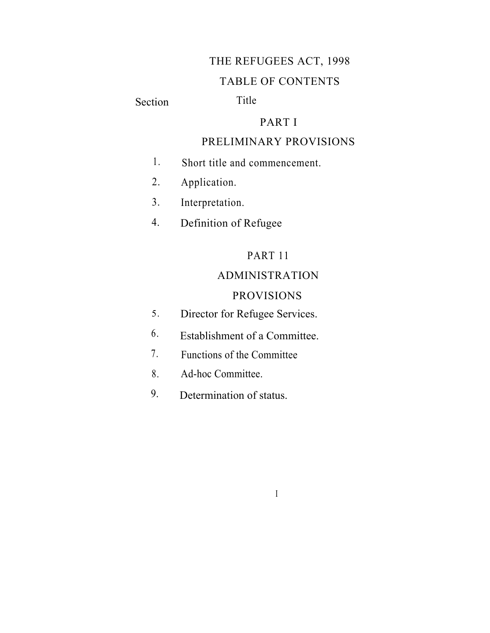# THE REFUGEES ACT, 1998

# TABLE OF CONTENTS

Section Title

# PART I

# PRELIMINARY PROVISIONS

- 1. Short title and commencement.
- 2. Application.
- 3. Interpretation.
- 4. Definition of Refugee

# PART 11

# ADMINISTRATION

# PROVISIONS

I

- 5. Director for Refugee Services.
- 6. Establishment of a Committee.
- Functions of the Committee 7.
- Ad-hoc Committee. 8.
- 9. Determination of status.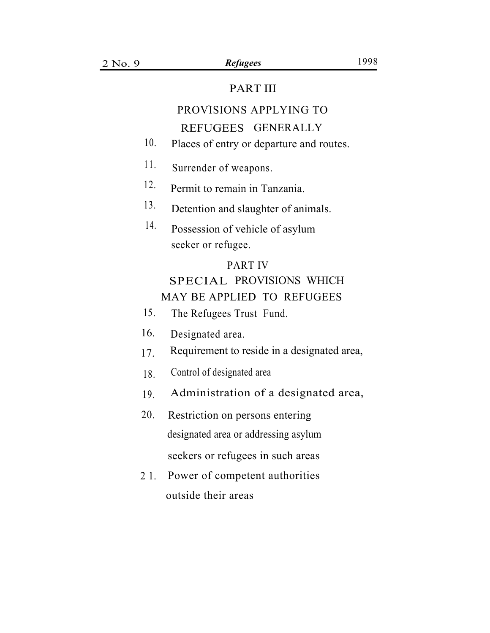## PART III

# PROVISIONS APPLYING TO REFUGEES GENERALLY

- 10. Places of entry or departure and routes.
- Surrender of weapons. 11.
- Permit to remain in Tanzania. 12.
- Detention and slaughter of animals. 13.
- Possession of vehicle of asylum 14. seeker or refugee.

# PART IV SPECIAL PROVISIONS WHICH MAY BE APPLIED TO REFUGEES

- 15. The Refugees Trust Fund.
- 16. Designated area.
- 17. Requirement to reside in a designated area,
- 18. Control of designated area
- 19. Administration of a designated area,
- 20. Restriction on persons entering designated area or addressing asylum seekers or refugees in such areas
- Power of competent authorities outside their areas 2 1.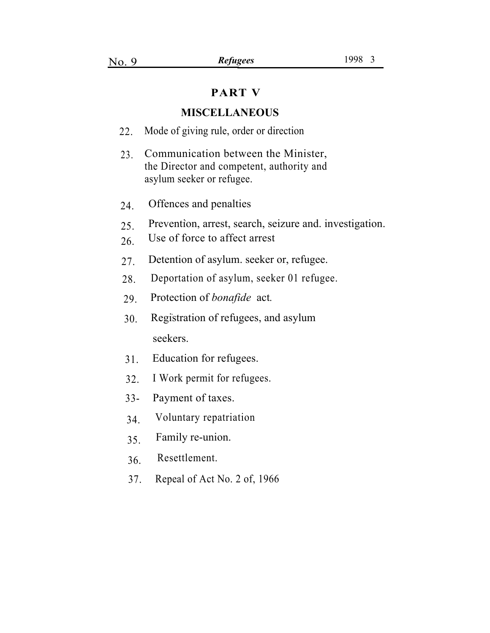## **PART V**

#### **MISCELLANEOUS**

- 22. Mode of giving rule, order or direction
- Communication between the Minister, the Director and competent, authority and asylum seeker or refugee. 23.
- 24. Offences and penalties
- 25. Prevention, arrest, search, seizure and. investigation.
- 26. Use of force to affect arrest
- 27. Detention of asylum. seeker or, refugee.
- 28. Deportation of asylum, seeker 01 refugee.
- 29. Protection of *bonafide* act*.*
- . 30. Registration of refugees, and asylum seekers.
- Education for refugees. 31.
- I Work permit for refugees. 32.
- Payment of taxes. 33-
- Voluntary repatriation 34.
- Family re-union. 35.
- Resettlement. 36.
- 37. Repeal of Act No. 2 of, 1966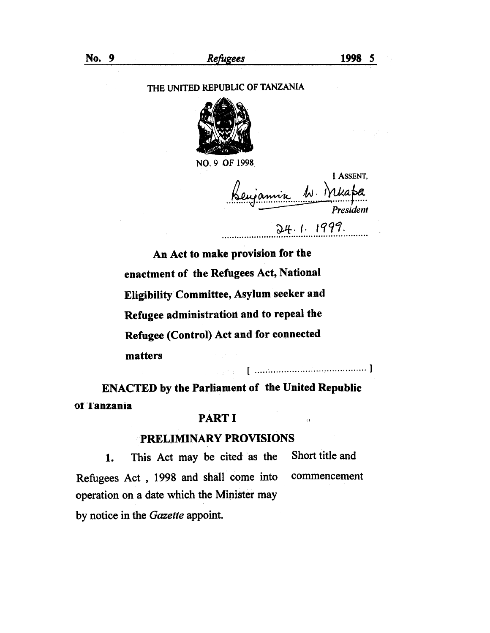#### THE UNITED REPUBLIC OF TANZANIA



NO. 9 OF 1998

I ASSENT, Keujamin W. Mkapa President  $24.1.1999.$ 

 $\pm 4$ 

An Act to make provision for the enactment of the Refugees Act, National Eligibility Committee, Asylum seeker and Refugee administration and to repeal the Refugee (Control) Act and for connected matters 

**ENACTED by the Parliament of the United Republic** of lanzania

Service Stor

#### **PART I**

### **PRELIMINARY PROVISIONS**

Short title and This Act may be cited as the  $\mathbf{1}$ . Refugees Act, 1998 and shall come into commencement operation on a date which the Minister may by notice in the Gazette appoint.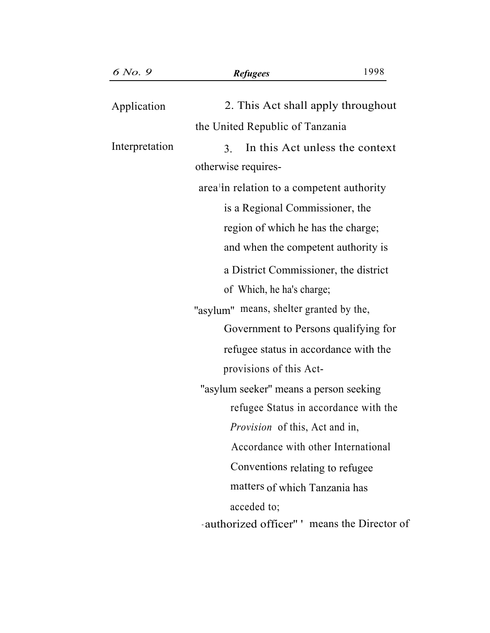| 6 No. 9        | <b>Refugees</b>                                        | 1998 |
|----------------|--------------------------------------------------------|------|
| Application    | 2. This Act shall apply throughout                     |      |
|                | the United Republic of Tanzania                        |      |
| Interpretation | In this Act unless the context<br>3 <sub>1</sub>       |      |
|                | otherwise requires-                                    |      |
|                | area <sup>1</sup> in relation to a competent authority |      |
|                | is a Regional Commissioner, the                        |      |
|                | region of which he has the charge;                     |      |
|                | and when the competent authority is                    |      |
|                | a District Commissioner, the district                  |      |
|                | of Which, he ha's charge;                              |      |
|                | "asylum" means, shelter granted by the,                |      |
|                | Government to Persons qualifying for                   |      |
|                | refugee status in accordance with the                  |      |
|                | provisions of this Act-                                |      |
|                | "asylum seeker" means a person seeking                 |      |
|                | refugee Status in accordance with the                  |      |
|                | Provision of this, Act and in,                         |      |
|                | Accordance with other International                    |      |
|                | Conventions relating to refugee                        |      |
|                | matters of which Tanzania has                          |      |
|                | acceded to;                                            |      |
|                | authorized officer" ' means the Director of            |      |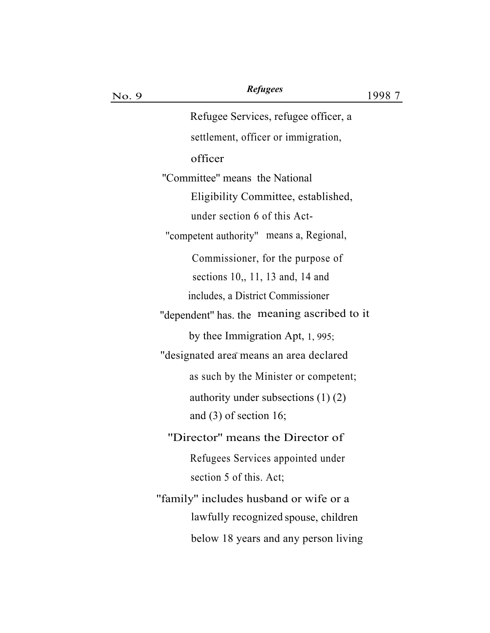| No. 9 | <i><b>Refugees</b></i>                               | 1998 7 |
|-------|------------------------------------------------------|--------|
|       | Refugee Services, refugee officer, a                 |        |
|       | settlement, officer or immigration,                  |        |
|       | officer                                              |        |
|       | "Committee" means the National                       |        |
|       | Eligibility Committee, established,                  |        |
|       | under section 6 of this Act-                         |        |
|       | "competent authority" means a, Regional,             |        |
|       | Commissioner, for the purpose of                     |        |
|       | sections $10, 11, 13$ and, 14 and                    |        |
|       | includes, a District Commissioner                    |        |
|       | "dependent" has the meaning ascribed to it           |        |
|       | by thee Immigration Apt, 1, 995;                     |        |
|       | "designated area <sup>®</sup> means an area declared |        |
|       | as such by the Minister or competent;                |        |
|       | authority under subsections $(1)$ $(2)$              |        |
|       | and $(3)$ of section 16;                             |        |
|       | "Director" means the Director of                     |        |
|       | Refugees Services appointed under                    |        |
|       | section 5 of this. Act;                              |        |
|       | "family" includes husband or wife or a               |        |
|       | lawfully recognized spouse, children                 |        |
|       | below 18 years and any person living                 |        |
|       |                                                      |        |

*Refugees*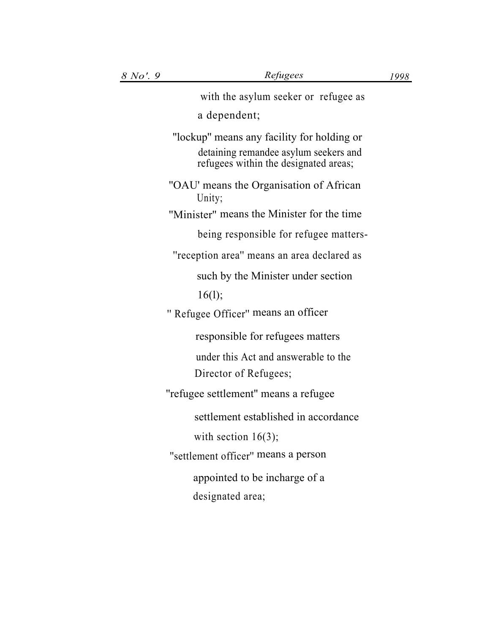| with the asylum seeker or refugee as                                                                                         |
|------------------------------------------------------------------------------------------------------------------------------|
| a dependent;                                                                                                                 |
| "lockup" means any facility for holding or<br>detaining remandee asylum seekers and<br>refugees within the designated areas; |
| "OAU' means the Organisation of African<br>Unity;                                                                            |
| "Minister" means the Minister for the time                                                                                   |
| being responsible for refugee matters-                                                                                       |
| "reception area" means an area declared as                                                                                   |
| such by the Minister under section                                                                                           |
| 16(1);                                                                                                                       |
| " Refugee Officer" means an officer                                                                                          |
| responsible for refugees matters                                                                                             |
| under this Act and answerable to the                                                                                         |
| Director of Refugees;                                                                                                        |
| "refugee settlement" means a refugee                                                                                         |
| settlement established in accordance                                                                                         |
| with section $16(3)$ ;                                                                                                       |
| "settlement officer" means a person                                                                                          |
| appointed to be incharge of a                                                                                                |
| designated area;                                                                                                             |
|                                                                                                                              |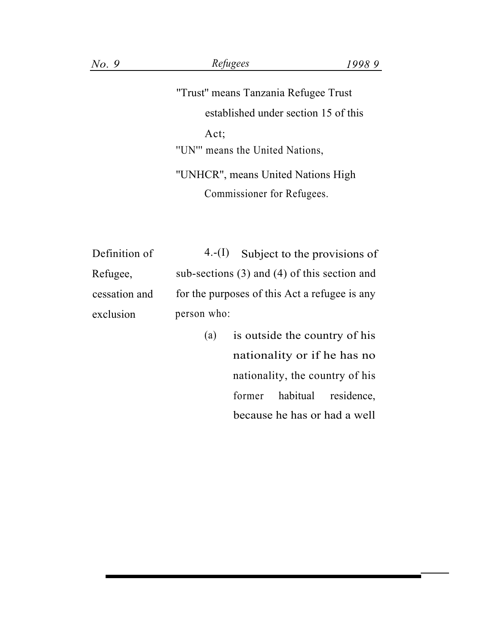# *No. 9 Refugees 1998 9*

''Trust'' means Tanzania Refugee Trust established under section 15 of this Act; ''UN''' means the United Nations, ''UNHCR'', means United Nations High Commissioner for Refugees.

| Definition of | $4-(I)$ Subject to the provisions of             |
|---------------|--------------------------------------------------|
| Refugee,      | sub-sections $(3)$ and $(4)$ of this section and |
| cessation and | for the purposes of this Act a refugee is any    |
| exclusion     | person who:                                      |

(a) is outside the country of his nationality or if he has no nationality, the country of his former habitual residence, because he has or had a well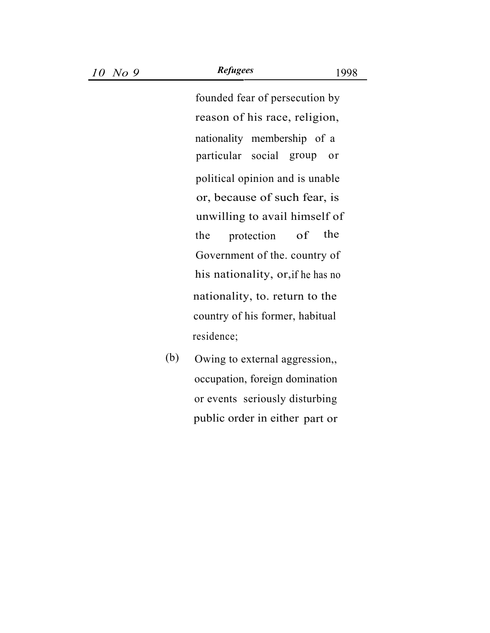founded fear of persecution by . reason of his race, religion, particular social group or political opinion and is unable or, because of such fear, is unwilling to avail himself of the protection of the Government of the. country of his nationality, or,if he has no nationality, to. return to the country of his former, habitual residence; nationality membership of a

(b) Owing to external aggression,, occupation, foreign domination or events seriously disturbing public order in either part or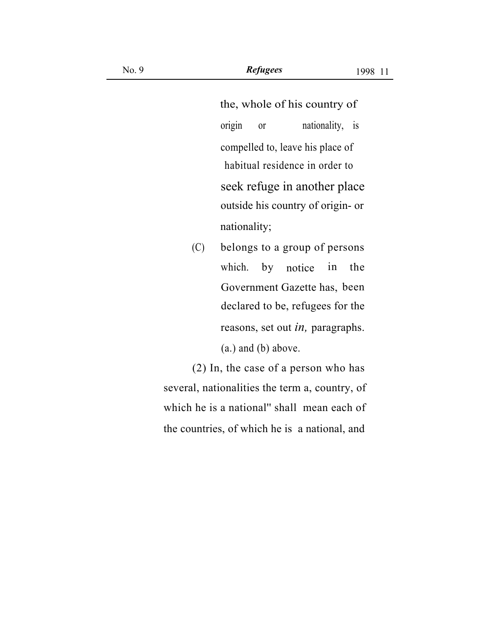the, whole of his country of origin or nationality, is compelled to, leave his place of habitual residence in order to seek refuge in another place outside his country of origin- or nationality;

(C) belongs to a group of persons which. by notice in the Government Gazette has, been declared to be, refugees for the reasons, set out *in,* paragraphs. (a.) and (b) above.

(2) In, the case of a person who has several, nationalities the term a, country, of which he is a national'' shall mean each of the countries, of which he is a national, and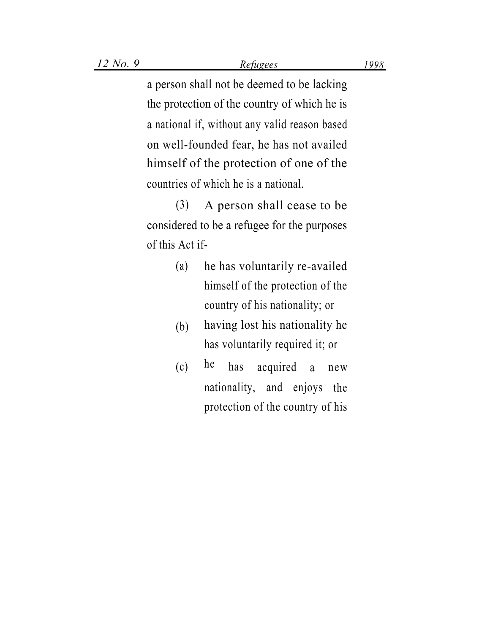a person shall not be deemed to be lacking the protection of the country of which he is a national if, without any valid reason based on well-founded fear, he has not availed himself of the protection of one of the countries of which he is a national.

(3) A person shall cease to be considered to be a refugee for the purposes of this Act if-

- (a) he has voluntarily re-availed himself of the protection of the country of his nationality; or
- having lost his nationality he has voluntarily required it; or (b)
- he  $(c)$  he has acquired a new nationality, and enjoys the protection of the country of his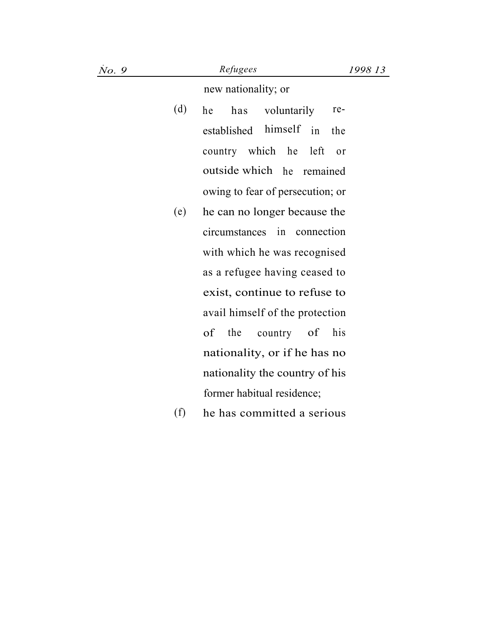| No. 9 |     | Refugees<br>1998 13              |
|-------|-----|----------------------------------|
|       |     | new nationality; or              |
|       | (d) | has voluntarily<br>he<br>re-     |
|       |     | established himself<br>in<br>the |
|       |     | country which he left<br>or      |
|       |     | outside which he remained        |
|       |     | owing to fear of persecution; or |
|       | (e) | he can no longer because the     |
|       |     | circumstances in connection      |
|       |     | with which he was recognised     |
|       |     | as a refugee having ceased to    |
|       |     | exist, continue to refuse to     |
|       |     | avail himself of the protection  |
|       |     | of<br>the<br>country of<br>his   |
|       |     | nationality, or if he has no     |
|       |     | nationality the country of his   |
|       |     | former habitual residence;       |
|       | (f) | he has committed a serious       |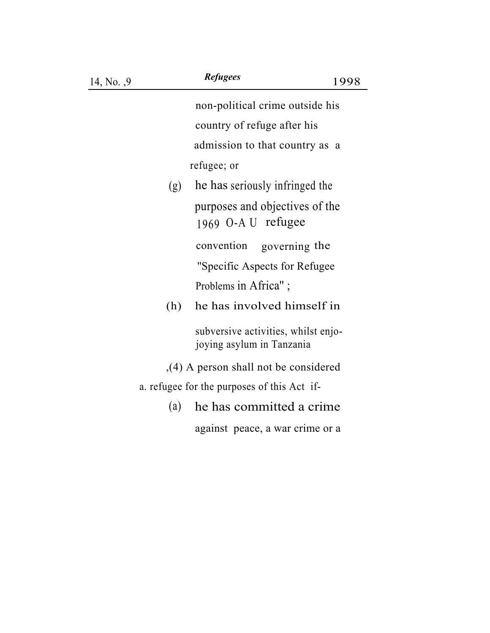non-political crime outside his . country of refuge after his admission to that country as a refugee; or

(g) he has seriously infringed the purposes and objectives of the 1969 O-A U refugee convention governing the

''Specific Aspects for Refugee Problems in Africa";

(h) he has involved himself in

subversive activities, whilst enjojoying asylum in Tanzania

- ,(4) A person shall not be considered
- a. refugee for the purposes of this Act if-
	- . (a) he has committed a crime against peace, a war crime or a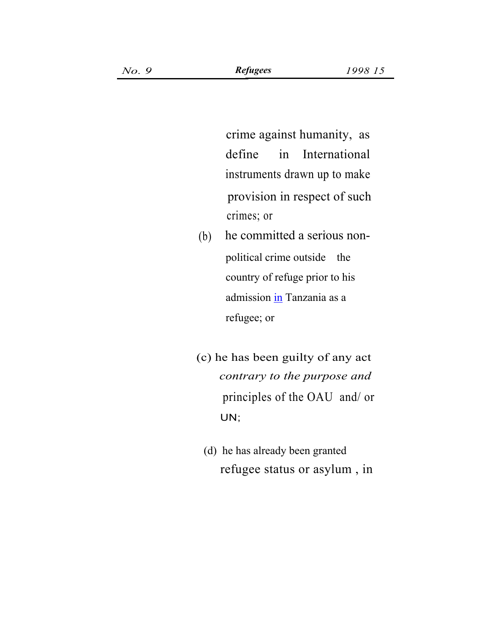crime against humanity, as define in International instruments drawn up to make provision in respect of such crimes; or

- . (b) he committed a serious nonpolitical crime outside the country of refuge prior to his admission in Tanzania as a refugee; or
- (c) he has been guilty of any act *contrary to the purpose and* principles of the OAU and/ or UN;
	- refugee status or asylum , in (d) he has already been granted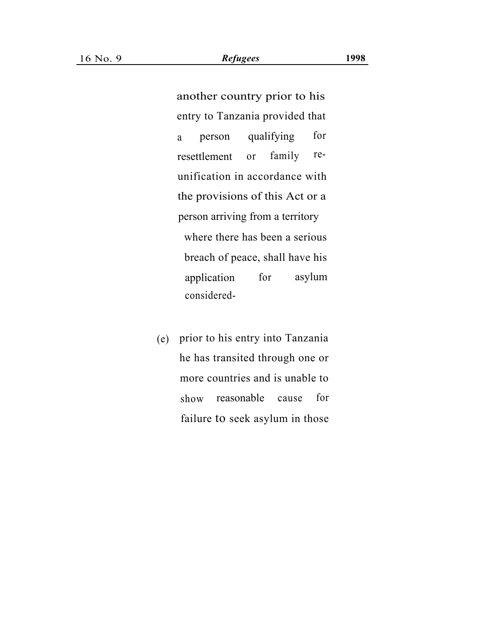another country prior to his entry to Tanzania provided that a person qualifying for resettlement or family reunification in accordance with the provisions of this Act or a person arriving from a territory where there has been a serious breach of peace, shall have his application for asylum considered-

(e) prior to his entry into Tanzania he has transited through one or more countries and is unable to show reasonable cause for failure to seek asylum in those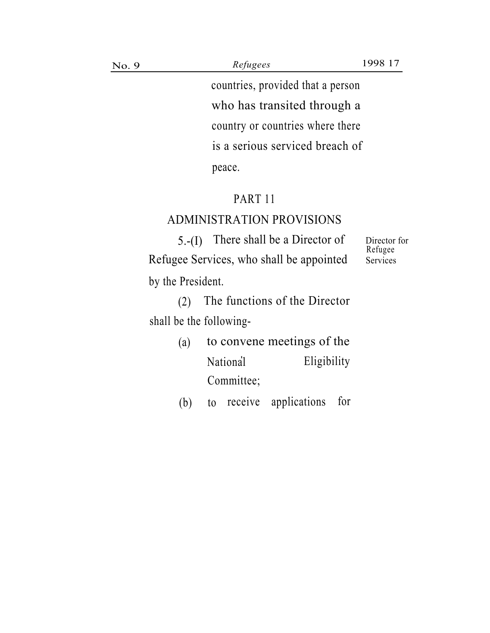No. 9 *Refugees* 1998 17

countries, provided that a person who has transited through a country or countries where there is a serious serviced breach of peace.

# PART 11

# ADMINISTRATION PROVISIONS

 $5.-(1)$  There shall be a Director of Director for Refugee Services, who shall be appointed Services by the President.

Refugee

(2) The functions of the Director shall be the following-

> (a) to convene meetings of the National Eligibility Committee;

> (b) to receive applications for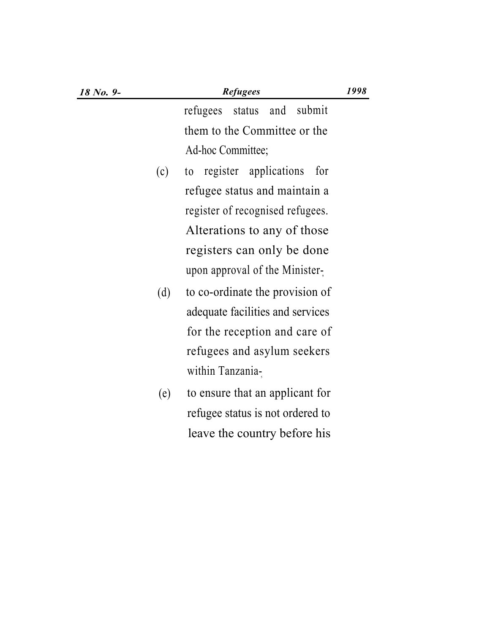| 18 No. 9- |     | 1998<br><b>Refugees</b>             |
|-----------|-----|-------------------------------------|
|           |     | submit<br>status<br>and<br>refugees |
|           |     | them to the Committee or the        |
|           |     | Ad-hoc Committee;                   |
|           | (c) | register applications<br>for<br>to  |
|           |     | refugee status and maintain a       |
|           |     | register of recognised refugees.    |
|           |     | Alterations to any of those         |
|           |     | registers can only be done          |
|           |     | upon approval of the Minister-      |
|           | (d) | to co-ordinate the provision of     |
|           |     | adequate facilities and services    |
|           |     | for the reception and care of       |
|           |     | refugees and asylum seekers         |
|           |     | within Tanzania-                    |
|           | (e) | to ensure that an applicant for     |
|           |     | refugee status is not ordered to    |
|           |     | leave the country before his        |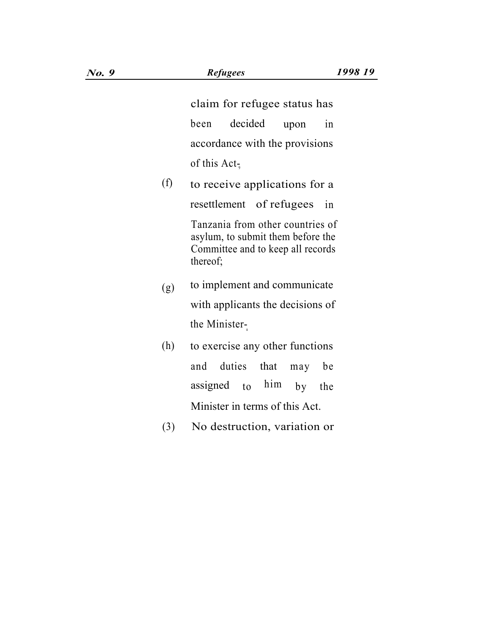claim for refugee status has been decided upon in accordance with the provisions of this  $Act_{\overline{9}}$ 

- (f) to receive applications for a resettlement of refugees in Tanzania from other countries of asylum, to submit them before the Committee and to keep all records thereof;
- to implement and communicate with applicants the decisions of the Minister-(g)
- (h) to exercise any other functions and duties that may be assigned to  $\hbar$ im by the Minister in terms of this Act.
- (3) No destruction, variation or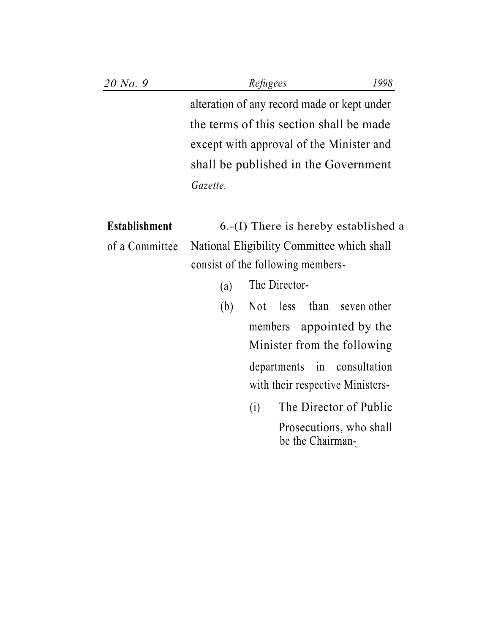| 20 No. 9 | Refugees                                    |  |
|----------|---------------------------------------------|--|
|          | alteration of any record made or kept under |  |
|          | the terms of this section shall be made     |  |
|          | except with approval of the Minister and    |  |
|          | shall be published in the Government        |  |
|          | Gazette.                                    |  |

**Establishment** 6.-(I) There is hereby established a of a Committee National Eligibility Committee which shall consist of the following members-

- (a) The Director-
- $(b)$  Not less than seven other members appointed by the Minister from the following departments in consultation with their respective Ministers-
	- (i) The Director of Public Prosecutions, who shall be the Chairman-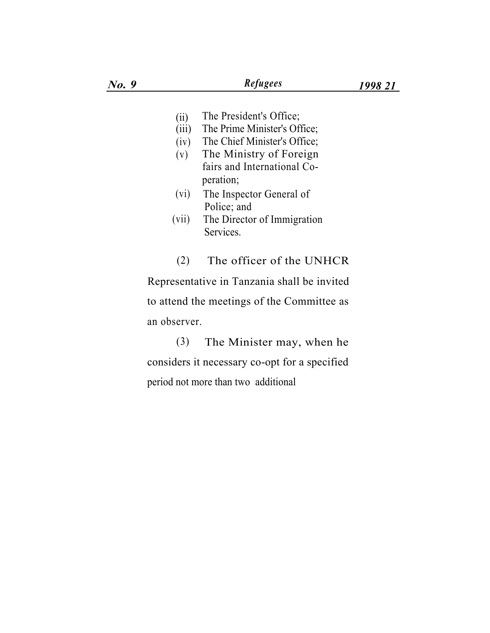- The President's Office; (ii)
- The Prime Minister's Office;  $(iii)$
- The Chief Minister's Office;  $(iv)$
- The Ministry of Foreign fairs and International Co- (v) peration;
- (vi) The Inspector General of Police; and
- (vii) The Director of Immigration Services.

(2) The officer of the UNHCR Representative in Tanzania shall be invited to attend the meetings of the Committee as an observer.

(3) The Minister may, when he considers it necessary co-opt for a specified period not more than two additional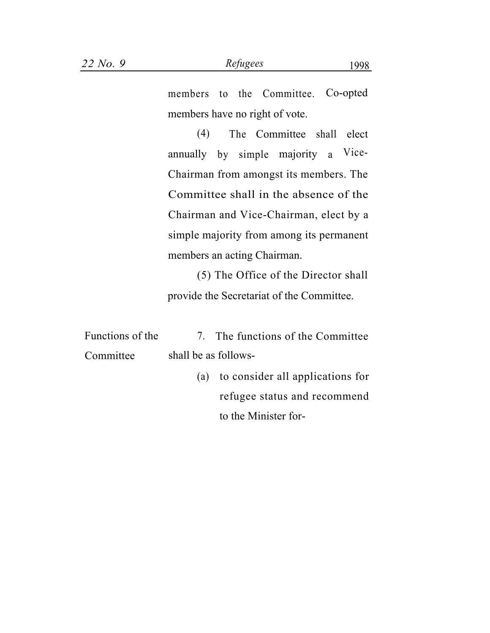(4) The Committee shall elect annually by simple majority a Vice-Chairman from amongst its members. The Committee shall in the absence of the Chairman and Vice-Chairman, elect by a simple majority from among its permanent members an acting Chairman.

(5) The Office of the Director shall provide the Secretariat of the Committee.

| Functions of the |                      | 7. The functions of the Committee    |
|------------------|----------------------|--------------------------------------|
| Committee        | shall be as follows- |                                      |
|                  |                      | (a) to consider all applications for |

refugee status and recommend to the Minister for-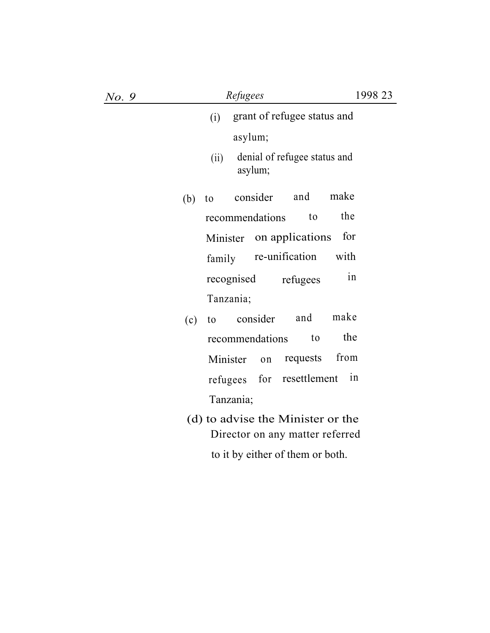| No. 9 |     | Refugees                                                             | 1998 23 |
|-------|-----|----------------------------------------------------------------------|---------|
|       |     | grant of refugee status and<br>(i)                                   |         |
|       |     | asylum;                                                              |         |
|       |     | denial of refugee status and<br>(ii)<br>asylum;                      |         |
|       | (b) | make<br>and<br>consider<br>to                                        |         |
|       |     | the<br>recommendations<br>to                                         |         |
|       |     | for<br>Minister on applications                                      |         |
|       |     | re-unification<br>with<br>family                                     |         |
|       |     | recognised<br>refugees                                               | in      |
|       |     | Tanzania;                                                            |         |
|       | (c) | make<br>consider<br>and<br>to                                        |         |
|       |     | recommendations<br>to                                                | the     |
|       |     | from<br>requests<br>Minister<br>on                                   |         |
|       |     | for<br>resettlement<br>refugees                                      | 1n      |
|       |     | Tanzania;                                                            |         |
|       |     | (d) to advise the Minister or the<br>Director on any matter referred |         |
|       |     | to it by either of them or both.                                     |         |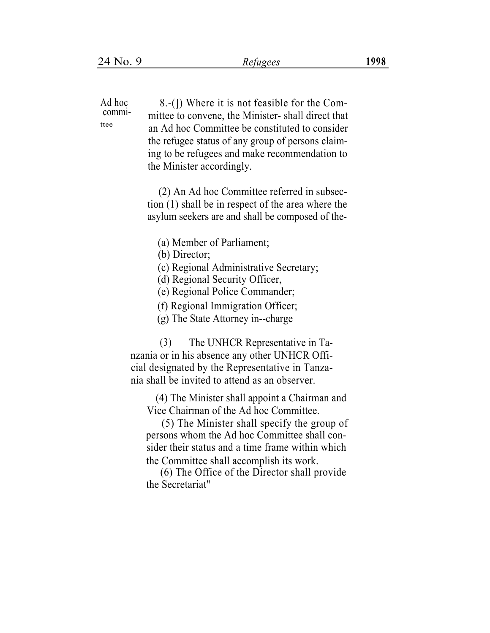Ad hoc 8.-(1) Where it is not feasible for the Committee to convene, the Minister- shall direct that an Ad hoc Committee be constituted to consider the refugee status of any group of persons claiming to be refugees and make recommendation to the Minister accordingly. committee (2) An Ad hoc Committee referred in subsection (1) shall be in respect of the area where the asylum seekers are and shall be composed of the- (a) Member of Parliament; (b) Director; (c) Regional Administrative Secretary; (d) Regional Security Officer, (e) Regional Police Commander; (f) Regional Immigration Officer; (g) The State Attorney in--charge (3) The UNHCR Representative in Tanzania or in his absence any other UNHCR Official designated by the Representative in Tanzania shall be invited to attend as an observer. (4) The Minister shall appoint a Chairman and Vice Chairman of the Ad hoc Committee. (5) The Minister shall specify the group of

persons whom the Ad hoc Committee shall consider their status and a time frame within which the Committee shall accomplish its work.

(6) The Office of the Director shall provide the Secretariat''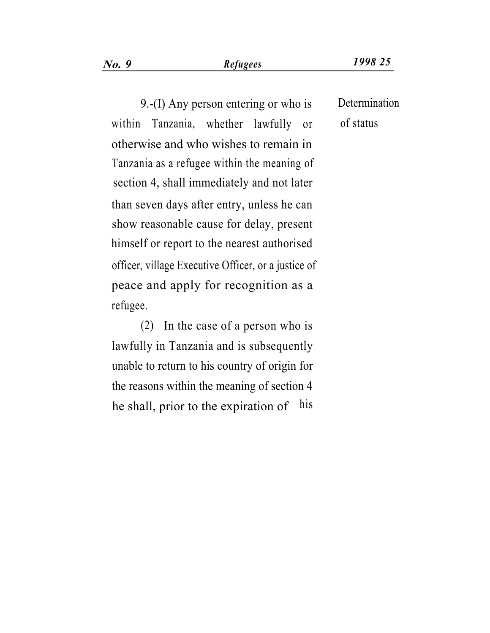9.-(I) Any person entering or who is Determination within Tanzania, whether lawfully or of status otherwise and who wishes to remain in Tanzania as a refugee within the meaning of section 4, shall immediately and not later than seven days after entry, unless he can show reasonable cause for delay, present himself or report to the nearest authorised officer, village Executive Officer, or a justice of peace and apply for recognition as a refugee.

(2) In the case of a person who is lawfully in Tanzania and is subsequently unable to return to his country of origin for the reasons within the meaning of section 4 he shall, prior to the expiration of his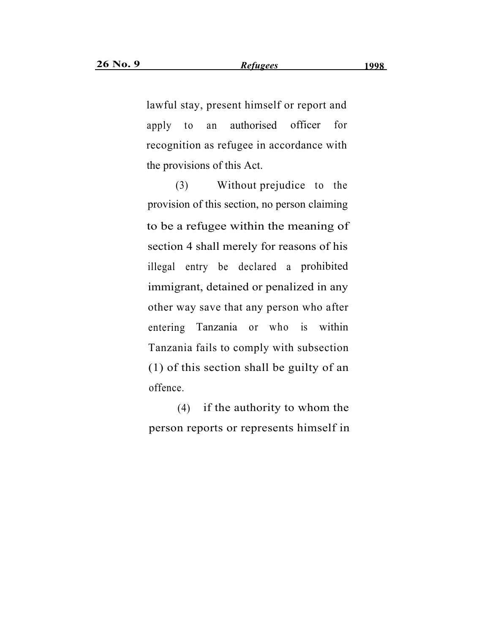lawful stay, present himself or report and apply to an authorised officer for recognition as refugee in accordance with the provisions of this Act.

(3) Without prejudice to the provision of this section, no person claiming to be a refugee within the meaning of section 4 shall merely for reasons of his illegal entry be declared a prohibited immigrant, detained or penalized in any other way save that any person who after entering Tanzania or who is within Tanzania fails to comply with subsection (1) of this section shall be guilty of an offence.

(4) if the authority to whom the person reports or represents himself in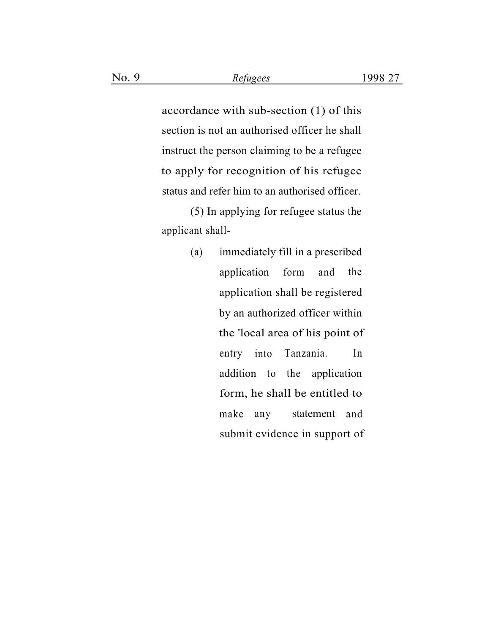accordance with sub-section (1) of this section is not an authorised officer he shall instruct the person claiming to be a refugee to apply for recognition of his refugee status and refer him to an authorised officer.

(5) In applying for refugee status the applicant shall-

> (a) immediately fill in a prescribed application form and the application shall be registered by an authorized officer within the 'local area of his point of entry into Tanzania. In addition to the application form, he shall be entitled to make any statement and submit evidence in support of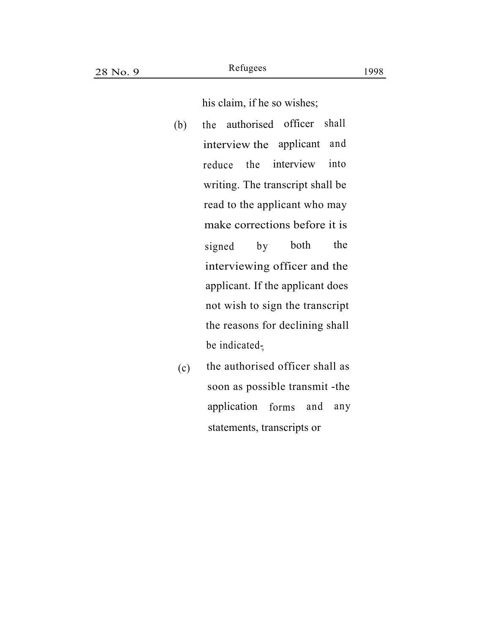his claim, if he so wishes;

- (b) the authorised officer shall interview the applicant and reduce the interview into writing. The transcript shall be read to the applicant who may make corrections before it is signed by both the interviewing officer and the applicant. If the applicant does not wish to sign the transcript the reasons for declining shall be indicated $\frac{1}{9}$
- (c) the authorised officer shall as soon as possible transmit -the application forms and any statements, transcripts or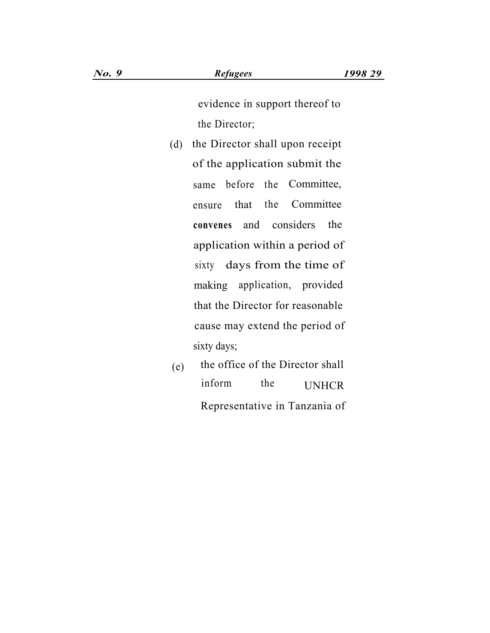evidence in support thereof to the Director;

- (d) the Director shall upon receipt of the application submit the same before the Committee, ensure that the Committee **convenes** and considers the application within a period of sixty days from the time of making application, provided that the Director for reasonable cause may extend the period of sixty days;
- $(e)$  the office of the Director shall inform the UNHCR Representative in Tanzania of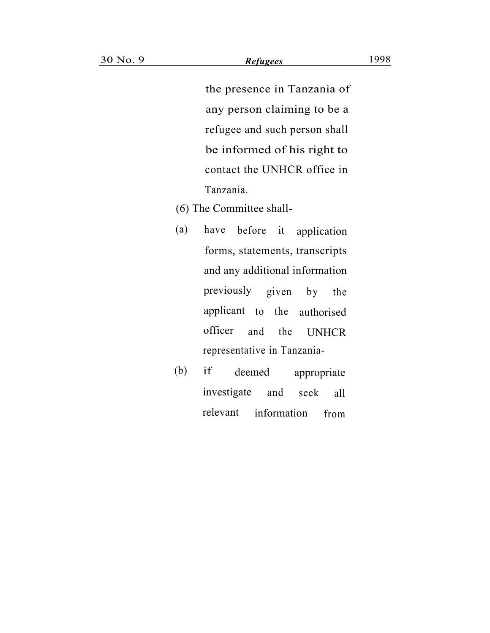the presence in Tanzania of any person claiming to be a refugee and such person shall be informed of his right to contact the UNHCR office in Tanzania.

- (6) The Committee shall-
- (a) have before it application forms, statements, transcripts and any additional information previously given by the applicant to the authorised officer and the UNHCR representative in Tanzania-
- (b) if deemed appropriate investigate and seek all relevant information from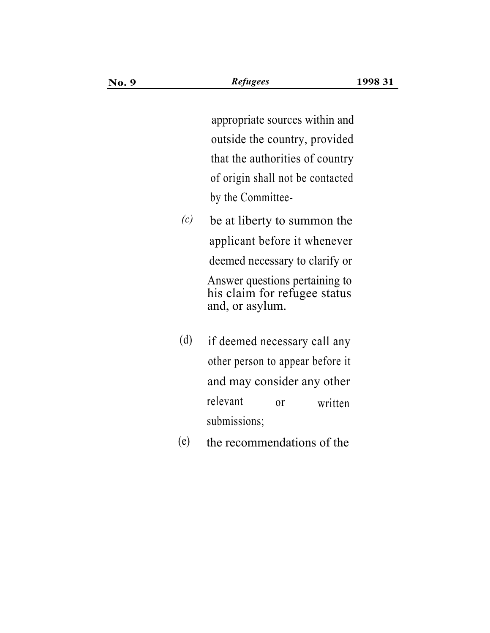appropriate sources within and outside the country, provided that the authorities of country of origin shall not be contacted by the Committee-

- *(c)* be at liberty to summon the applicant before it whenever deemed necessary to clarify or Answer questions pertaining to his claim for refugee status and, or asylum.
- (d) if deemed necessary call any other person to appear before it and may consider any other relevant submissions; or written
- (e) the recommendations of the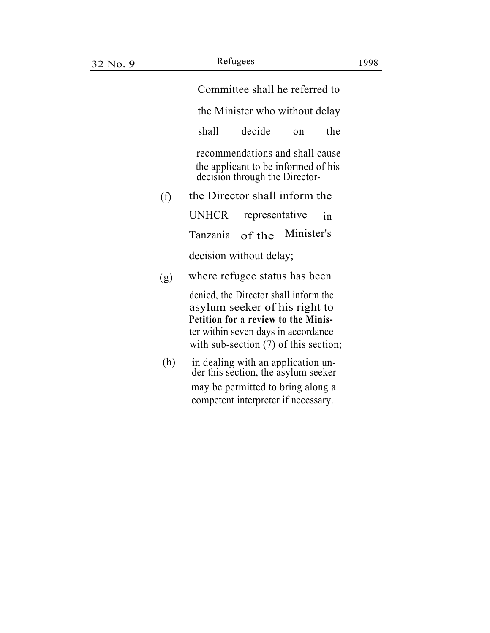Committee shall he referred to

the Minister who without delay

shall decide on the

recommendations and shall cause the applicant to be informed of his decision through the Director-

(f) the Director shall inform the

UNHCR representative in Tanzania of the Minister's decision without delay;

(g) where refugee status has been

denied, the Director shall inform the asylum seeker of his right to **Petition for a review to the Minis**ter within seven days in accordance with sub-section  $(7)$  of this section;

(h) in dealing with an application un- der this section, the asylum seeker may be permitted to bring along a competent interpreter if necessary.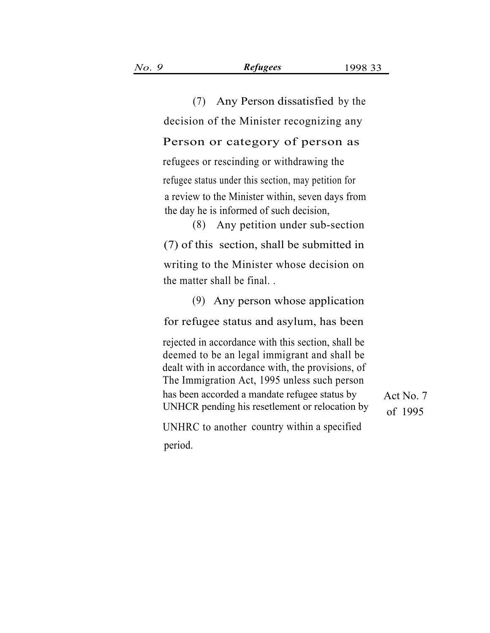| (7) Any Person dissatisfied by the                                                                                                                                                                                                                                                                         |                      |
|------------------------------------------------------------------------------------------------------------------------------------------------------------------------------------------------------------------------------------------------------------------------------------------------------------|----------------------|
| decision of the Minister recognizing any                                                                                                                                                                                                                                                                   |                      |
| Person or category of person as                                                                                                                                                                                                                                                                            |                      |
| refugees or rescinding or withdrawing the                                                                                                                                                                                                                                                                  |                      |
| refugee status under this section, may petition for<br>a review to the Minister within, seven days from<br>the day he is informed of such decision,<br>(8) Any petition under sub-section                                                                                                                  |                      |
| (7) of this section, shall be submitted in                                                                                                                                                                                                                                                                 |                      |
| writing to the Minister whose decision on<br>the matter shall be final                                                                                                                                                                                                                                     |                      |
| $(9)$ Any person whose application                                                                                                                                                                                                                                                                         |                      |
| for refugee status and asylum, has been                                                                                                                                                                                                                                                                    |                      |
| rejected in accordance with this section, shall be<br>deemed to be an legal immigrant and shall be<br>dealt with in accordance with, the provisions, of<br>The Immigration Act, 1995 unless such person<br>has been accorded a mandate refugee status by<br>UNHCR pending his resetlement or relocation by | Act No. 7<br>of 1995 |
| UNHRC to another country within a specified                                                                                                                                                                                                                                                                |                      |
| period.                                                                                                                                                                                                                                                                                                    |                      |
|                                                                                                                                                                                                                                                                                                            |                      |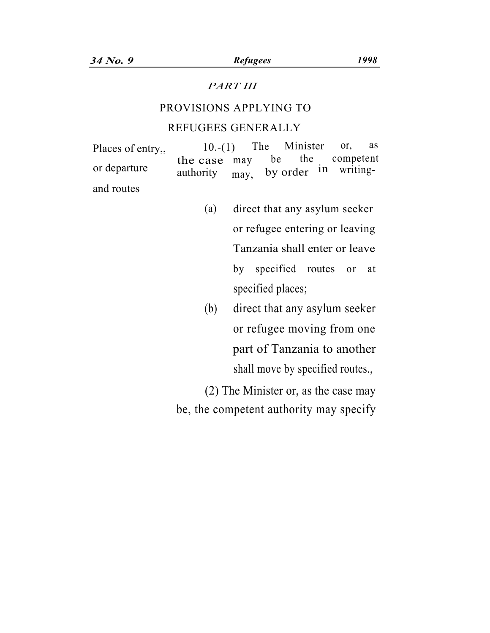### *PART III*

## PROVISIONS APPLYING TO

#### REFUGEES GENERALLY

Places of entry,,  $10-(1)$  The Minister or, as the case may be the competent or departure  $\frac{\text{and}}{\text{with} \text{or}}$  authority  $\frac{\text{may}}{\text{may}}$  by order in writingand routes

- (a) direct that any asylum seeker or refugee entering or leaving Tanzania shall enter or leave by specified routes or at specified places;
- (b) direct that any asylum seeker or refugee moving from one part of Tanzania to another shall move by specified routes.,

(2) The Minister or, as the case may be, the competent authority may specify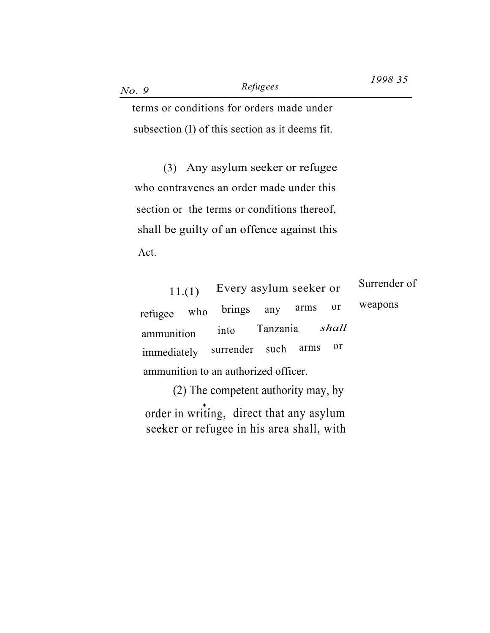terms or conditions for orders made under subsection (I) of this section as it deems fit.

(3) Any asylum seeker or refugee who contravenes an order made under this section or the terms or conditions thereof, shall be guilty of an offence against this Act.

| 11.(1)                               | Every asylum seeker or |                |    | Surrender of |
|--------------------------------------|------------------------|----------------|----|--------------|
| who<br>refugee                       | brings any arms        |                | 0r | weapons      |
| ammunition                           | into                   | Tanzania shall |    |              |
| immediately                          | surrender such arms    |                | 0r |              |
| ammunition to an authorized officer. |                        |                |    |              |

(2) The competent authority may, by order in writing, direct that any asylum seeker or refugee in his area shall, with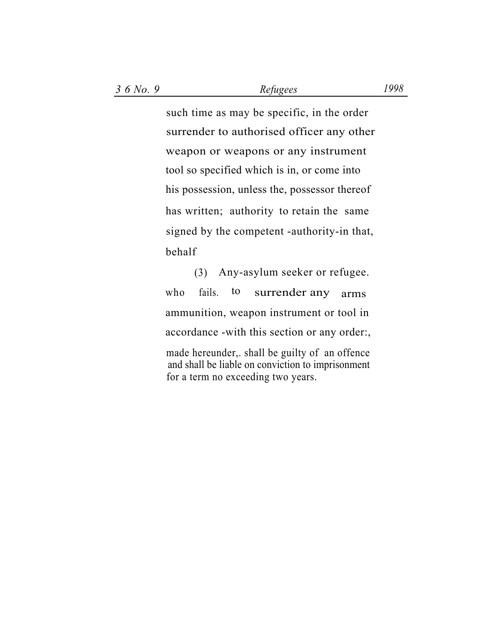such time as may be specific, in the order surrender to authorised officer any other weapon or weapons or any instrument tool so specified which is in, or come into his possession, unless the, possessor thereof has written; authority to retain the same signed by the competent -authority-in that, behalf

(3) Any-asylum seeker or refugee. who fails. to surrender any arms ammunition, weapon instrument or tool in . accordance -with this section or any order:, made hereunder,. shall be guilty of an offence and shall be liable on conviction to imprisonment for a term no exceeding two years.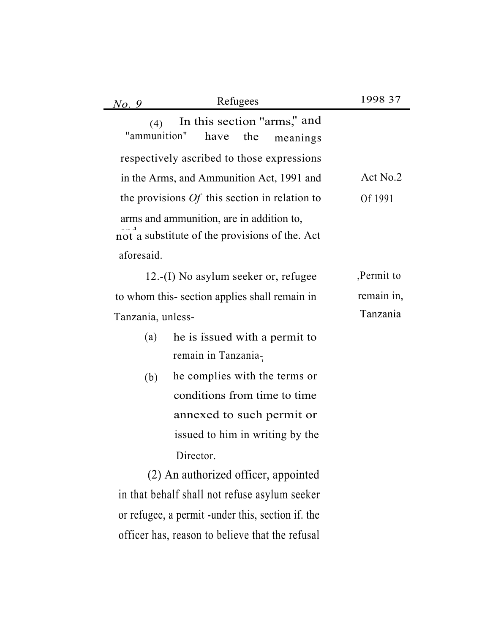| No. 9               | Refugees                                                                                   | 1998 37    |
|---------------------|--------------------------------------------------------------------------------------------|------------|
| (4)<br>"ammunition" | In this section "arms," and<br>have<br>the<br>meanings                                     |            |
|                     | respectively ascribed to those expressions                                                 |            |
|                     | in the Arms, and Ammunition Act, 1991 and                                                  | Act No.2   |
|                     | the provisions $Of$ this section in relation to                                            | Of 1991    |
|                     | arms and ammunition, are in addition to,<br>not a substitute of the provisions of the. Act |            |
| aforesaid.          |                                                                                            |            |
|                     | $12.$ -(I) No asylum seeker or, refugee                                                    | Permit to  |
|                     | to whom this-section applies shall remain in                                               | remain in, |
| Tanzania, unless-   |                                                                                            | Tanzania   |
| (a)                 | he is issued with a permit to                                                              |            |
|                     | remain in Tanzania-                                                                        |            |
| (b)                 | he complies with the terms or                                                              |            |
|                     | conditions from time to time                                                               |            |
|                     | annexed to such permit or                                                                  |            |
|                     | issued to him in writing by the                                                            |            |
|                     | Director.                                                                                  |            |
|                     | (2) An authorized officer, appointed                                                       |            |
|                     | in that behalf shall not refuse asylum seeker                                              |            |
|                     | or refugee, a permit -under this, section if. the                                          |            |

officer has, reason to believe that the refusal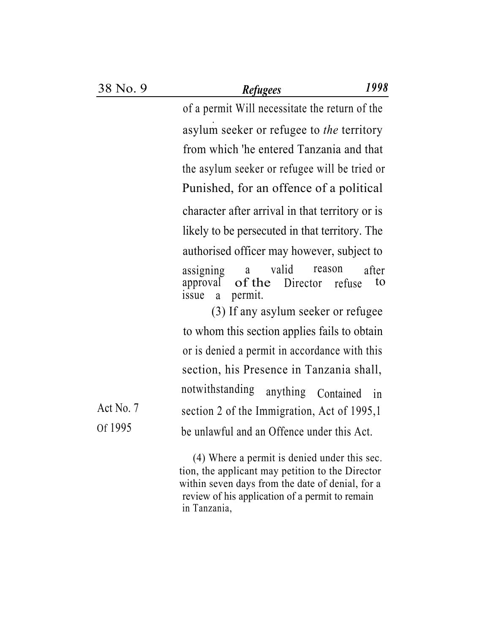of a permit Will necessitate the return of the .. asylum seeker or refugee to *the* territory from which 'he entered Tanzania and that the asylum seeker or refugee will be tried or Punished, for an offence of a political character after arrival in that territory or is likely to be persecuted in that territory. The authorised officer may however, subject to assigning a valid reason after<br>approval of the Director refuse to approval of the Director refuse to<br>issue a permit. a permit.

(3) If any asylum seeker or refugee to whom this section applies fails to obtain or is denied a permit in accordance with this section, his Presence in Tanzania shall, notwithstanding anything Contained in Act No. 7 section 2 of the Immigration, Act of 1995,1 Of 1995 be unlawful and an Offence under this Act.

> (4) Where a permit is denied under this sec. tion, the applicant may petition to the Director within seven days from the date of denial, for a review of his application of a permit to remain in Tanzania,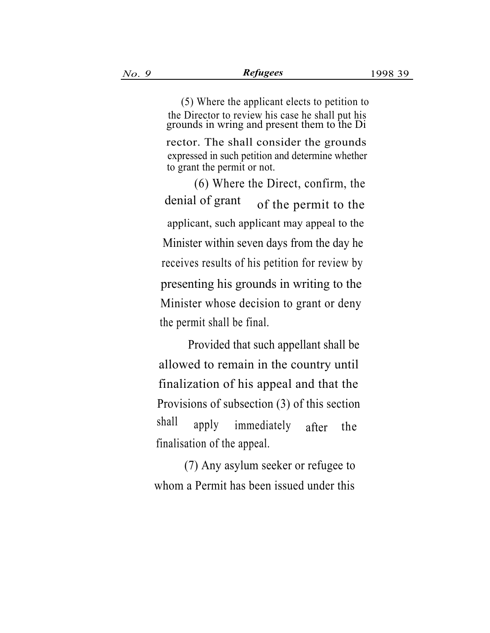(5) Where the applicant elects to petition to the Director to review his case he shall put his grounds in wring and present them to the Di

rector. The shall consider the grounds expressed in such petition and determine whether to grant the permit or not.

(6) Where the Direct, confirm, the denial of grant of the permit to the applicant, such applicant may appeal to the Minister within seven days from the day he receives results of his petition for review by presenting his grounds in writing to the Minister whose decision to grant or deny the permit shall be final.

Provided that such appellant shall be allowed to remain in the country until finalization of his appeal and that the Provisions of subsection (3) of this section shall apply immediately after the finalisation of the appeal.

(7) Any asylum seeker or refugee to whom a Permit has been issued under this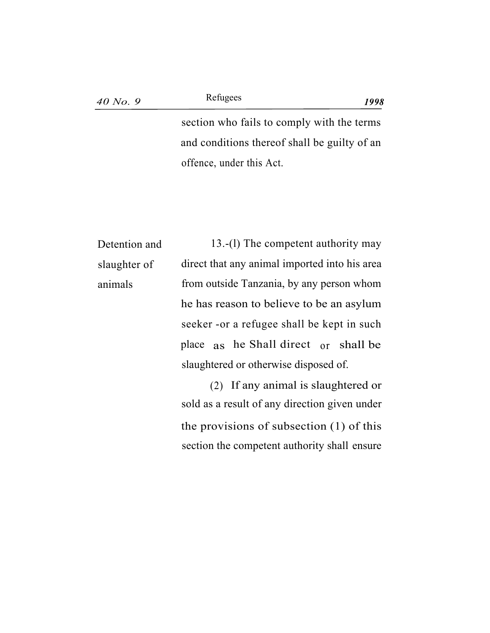### Refugees

section who fails to comply with the terms and conditions thereof shall be guilty of an offence, under this Act.

| Detention and | 13.-(1) The competent authority may           |  |  |
|---------------|-----------------------------------------------|--|--|
| slaughter of  | direct that any animal imported into his area |  |  |
| animals       | from outside Tanzania, by any person whom     |  |  |
|               | he has reason to believe to be an asylum      |  |  |
|               | seeker - or a refugee shall be kept in such   |  |  |
|               | place as he Shall direct or shall be          |  |  |
|               | slaughtered or otherwise disposed of.         |  |  |
|               |                                               |  |  |

(2) If any animal is slaughtered or sold as a result of any direction given under the provisions of subsection (1) of this section the competent authority shall ensure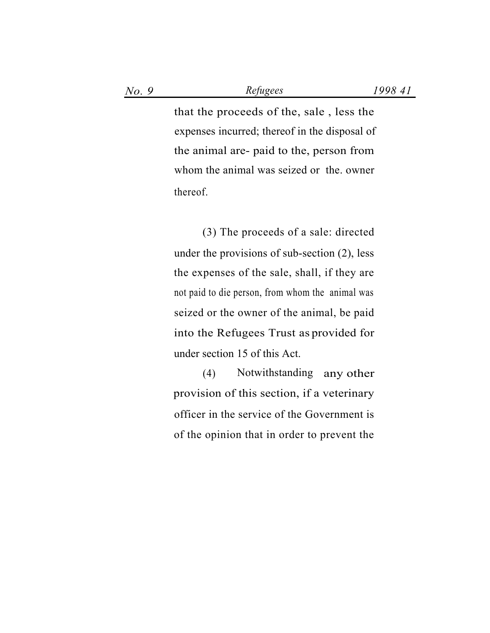that the proceeds of the, sale , less the expenses incurred; thereof in the disposal of the animal are- paid to the, person from whom the animal was seized or the. owner thereof.

(3) The proceeds of a sale: directed under the provisions of sub-section  $(2)$ , less the expenses of the sale, shall, if they are not paid to die person, from whom the animal was seized or the owner of the animal, be paid into the Refugees Trust as provided for under section 15 of this Act.

(4) Notwithstanding any other provision of this section, if a veterinary officer in the service of the Government is . of the opinion that in order to prevent the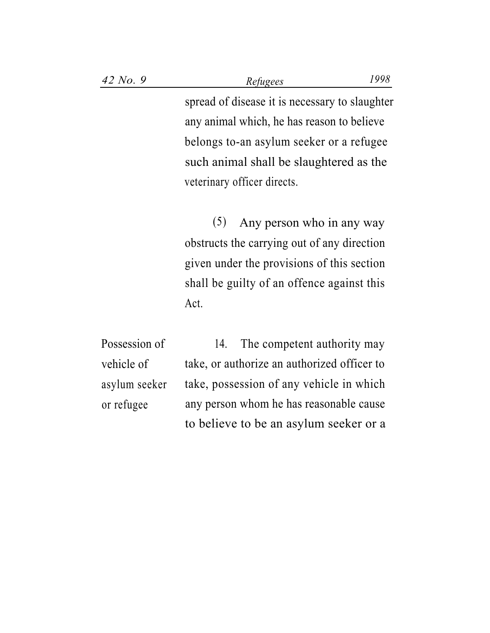spread of disease it is necessary to slaughter any animal which, he has reason to believe belongs to-an asylum seeker or a refugee such animal shall be slaughtered as the veterinary officer directs.

(5) Any person who in any way obstructs the carrying out of any direction given under the provisions of this section shall be guilty of an offence against this Act.

Possession of 14. The competent authority may take, or authorize an authorized officer to take, possession of any vehicle in which any person whom he has reasonable cause to believe to be an asylum seeker or a vehicle of asylum seeker or refugee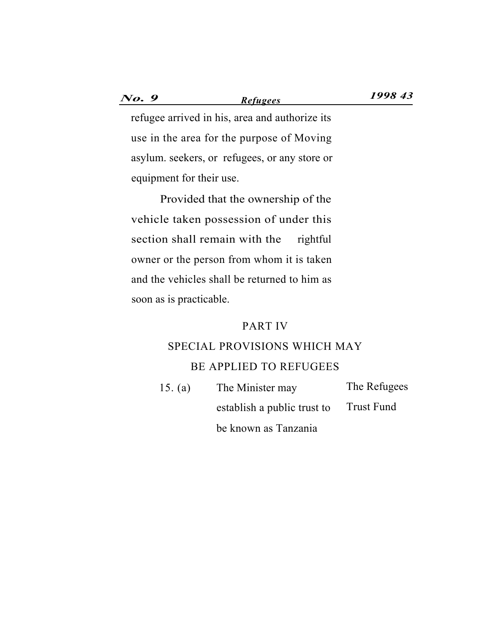*No. 9 1998 43 Refugees*

refugee arrived in his, area and authorize its use in the area for the purpose of Moving asylum. seekers, or refugees, or any store or equipment for their use.

Provided that the ownership of the vehicle taken possession of under this section shall remain with the rightful owner or the person from whom it is taken and the vehicles shall be returned to him as soon as is practicable.

#### PART IV

## SPECIAL PROVISIONS WHICH MAY BE APPLIED TO REFUGEES

15. (a) The Minister may The Refugees establish a public trust to Trust Fund be known as Tanzania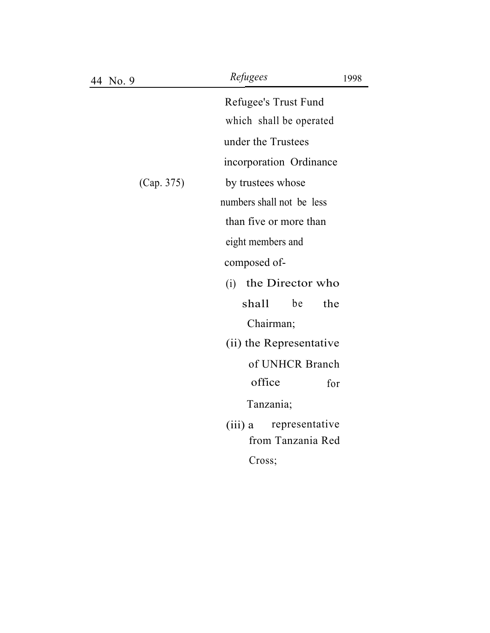| 4 No.9     | Refugees<br>1998                                 |
|------------|--------------------------------------------------|
|            | Refugee's Trust Fund                             |
|            | which shall be operated                          |
|            | under the Trustees                               |
|            | incorporation Ordinance                          |
| (Cap. 375) | by trustees whose                                |
|            | numbers shall not be less                        |
|            | than five or more than                           |
|            | eight members and                                |
|            | composed of-                                     |
|            | the Director who<br>(i)                          |
|            | shall<br>be<br>the                               |
|            | Chairman;                                        |
|            | (ii) the Representative                          |
|            | of UNHCR Branch                                  |
|            | office<br>for                                    |
|            | Tanzania;                                        |
|            | representative<br>$(iii)$ a<br>from Tanzania Red |
|            | Cross;                                           |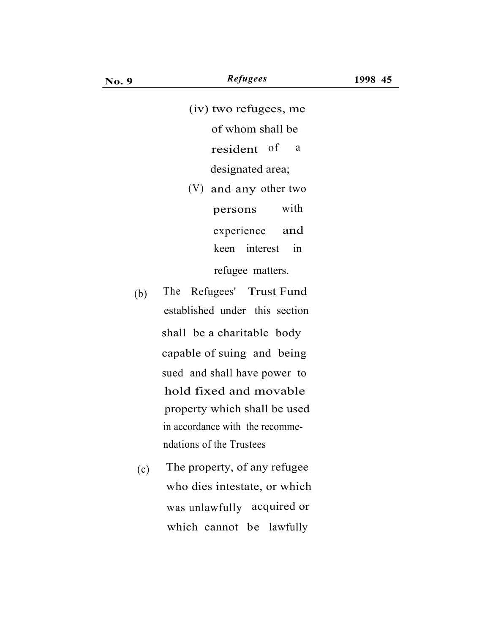(iv) two refugees, me of whom shall be resident of <sup>a</sup> designated area; (V) and any other two persons with experience and refugee matters. keen interest in

- (b) The Refugees' Trust Fund established under this section shall be a charitable body capable of suing and being sued and shall have power to hold fixed and movable property which shall be used in accordance with the recommendations of the Trustees
- (c) The property, of any refugee who dies intestate, or which was unlawfully acquired or which cannot be lawfully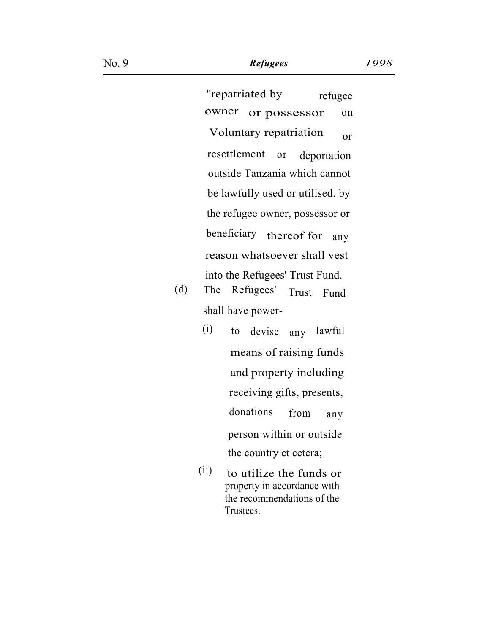''repatriated by refugee owner or possessor on Voluntary repatriation or resettlement or deportation outside Tanzania which cannot be lawfully used or utilised. by the refugee owner, possessor or beneficiary thereof for any reason whatsoever shall vest into the Refugees' Trust Fund.

- (d) The Refugees' Trust Fund shall have power-
	- (i) to devise any lawful means of raising funds and property including receiving gifts, presents, donations from any person within or outside the country et cetera;
	- (ii) to utilize the funds or property in accordance with the recommendations of the Trustees.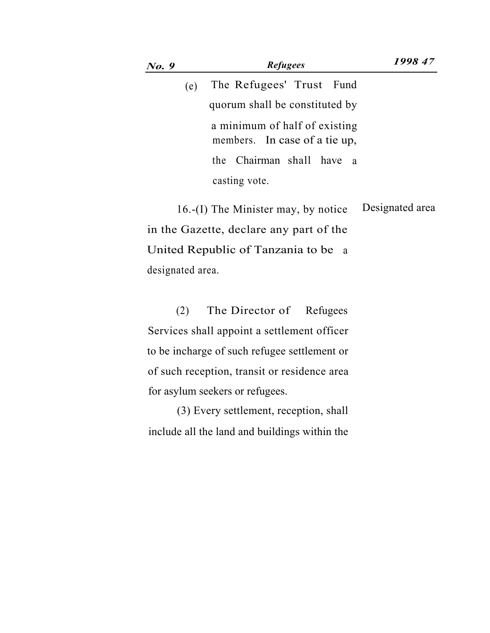| <b>No.</b> 9 | <b>Refugees</b>                                                | 1998 47 |
|--------------|----------------------------------------------------------------|---------|
| (e)          | The Refugees' Trust Fund                                       |         |
|              | quorum shall be constituted by                                 |         |
|              | a minimum of half of existing<br>members. In case of a tie up, |         |
|              | the Chairman shall have a                                      |         |
|              | casting vote.                                                  |         |

16.-(I) The Minister may, by notice Designated area in the Gazette, declare any part of the United Republic of Tanzania to be a designated area.

(2) The Director of Refugees Services shall appoint a settlement officer to be incharge of such refugee settlement or of such reception, transit or residence area for asylum seekers or refugees.

(3) Every settlement, reception, shall include all the land and buildings within the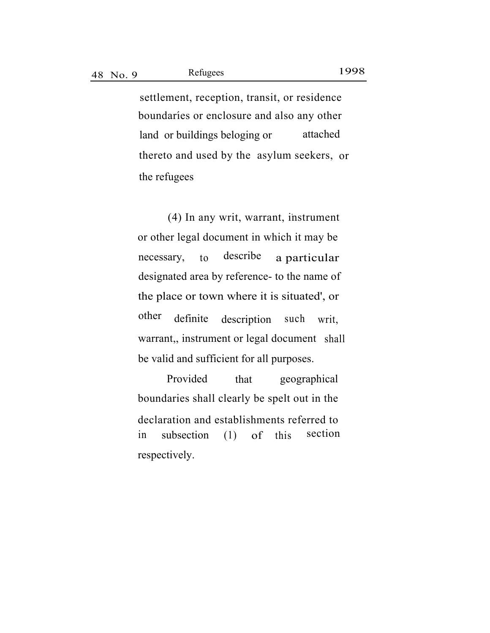settlement, reception, transit, or residence . boundaries or enclosure and also any other land or buildings beloging or attached thereto and used by the asylum seekers, or the refugees

Refugees

. (4) In any writ, warrant, instrument or other legal document in which it may be necessary, to describe a particular designated area by reference- to the name of the place or town where it is situated', or other definite description such writ, warrant,, instrument or legal document shall be valid and sufficient for all purposes.

Provided that geographical boundaries shall clearly be spelt out in the declaration and establishments referred to in subsection (1) of this section respectively.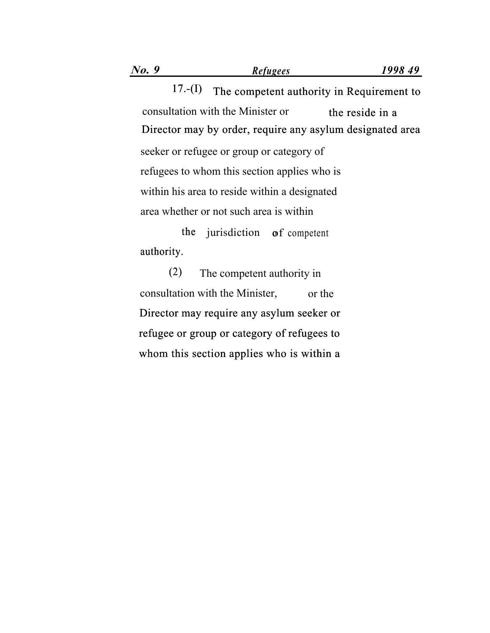17.-(I) The competent authority in Requirement to consultation with the Minister or the reside in a Director may by order, require any asylum designated area seeker or refugee or group or category of

refugees to whom this section applies who is within his area to reside within a designated area whether or not such area is within

the jurisdiction of competent authority.

The competent authority in consultation with the Minister, or the Director may require any asylum seeker or refugee or group or category of refugees to whom this section applies who is within a  $(2)$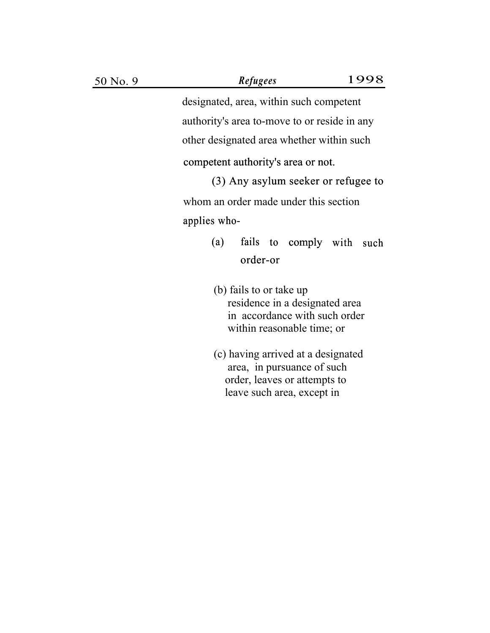designated, area, within such competent authority's area to-move to or reside in any other designated area whether within such

#### competent authority's area or not.

(3) Any asylum seeker or refugee to whom an order made under this section applies who-

- (a) fails to comply with such order-or
- (b) fails to or take up residence in a designated area in accordance with such order within reasonable time; or
- (c) having arrived at a designated area, in pursuance of such order, leaves or attempts to leave such area, except in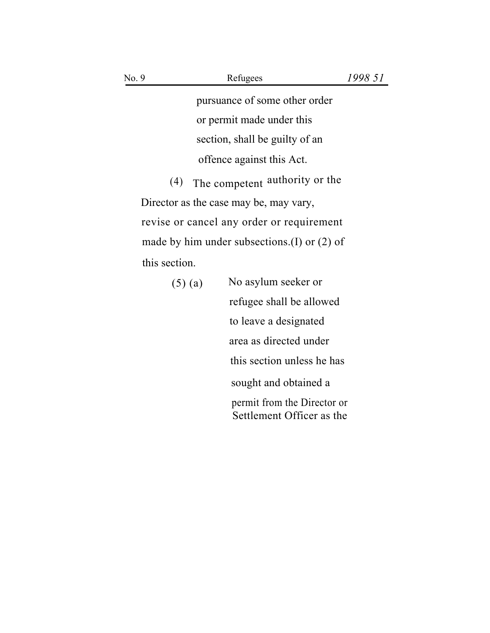pursuance of some other order or permit made under this section, shall be guilty of an offence against this Act.

(4) The competent authority or the Director as the case may be, may vary, revise or cancel any order or requirement made by him under subsections.(I) or (2) of this section.

| $(5)$ (a) | No asylum seeker or                                      |
|-----------|----------------------------------------------------------|
|           | refugee shall be allowed                                 |
|           | to leave a designated                                    |
|           | area as directed under                                   |
|           | this section unless he has                               |
|           | sought and obtained a                                    |
|           | permit from the Director or<br>Settlement Officer as the |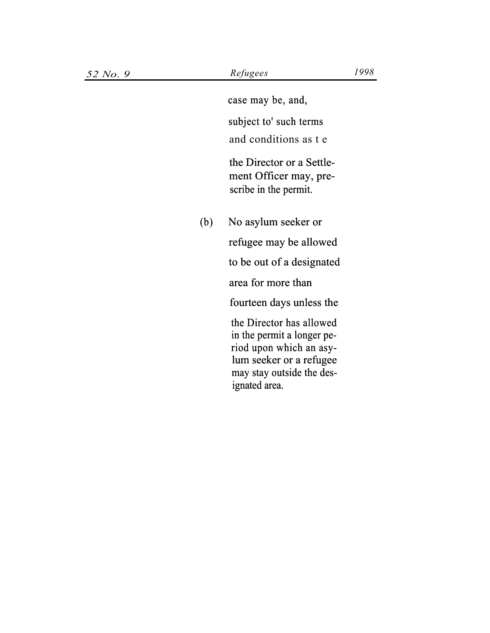case may be, and,

subject to' such terms

and conditions as t e

the Director or a Settlement Officer may, prescribe in the permit.

(b) No asylum seeker or

refugee may be allowed

to be out of a designated

area for more than

fourteen days unless the

the Director has allowed in the permit a longer period upon which an asylum seeker or a refugee may stay outside the designated area.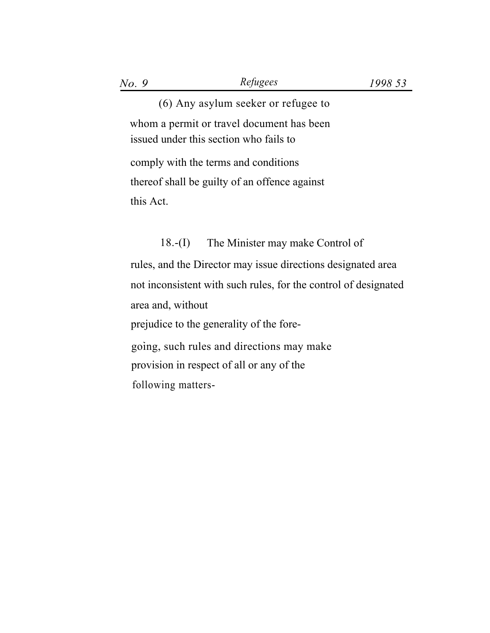(6) Any asylum seeker or refugee to whom a permit or travel document has been issued under this section who fails to comply with the terms and conditions thereof shall be guilty of an offence against this Act.

## 18.-(I) The Minister may make Control of

rules, and the Director may issue directions designated area not inconsistent with such rules, for the control of designated area and, without prejudice to the generality of the fore- . going, such rules and directions may make provision in respect of all or any of the following matters-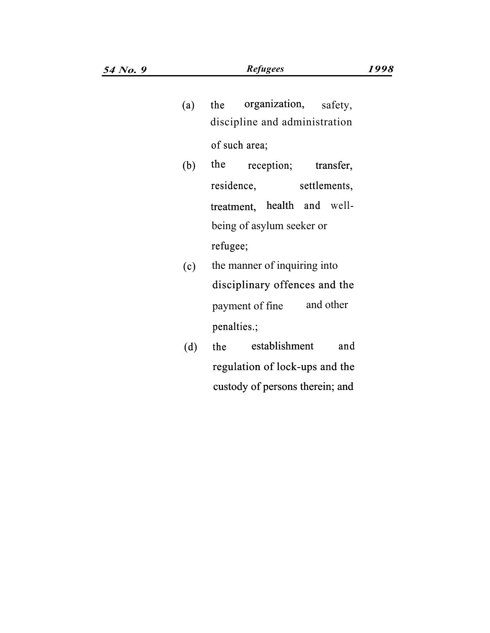- (a) the organization, safety, discipline and administration of such area;
- (b) the reception; transfer, settlements, treatment, health and well being of asylum seeker or refugee; residence,
- (c) the manner of inquiring into disciplinary offences and the payment of fine and other penalties.;  $\begin{pmatrix} 0 \\ 0 \end{pmatrix}$
- $(d)$ the establishment and regulation of lock-ups and the custody of persons therein; and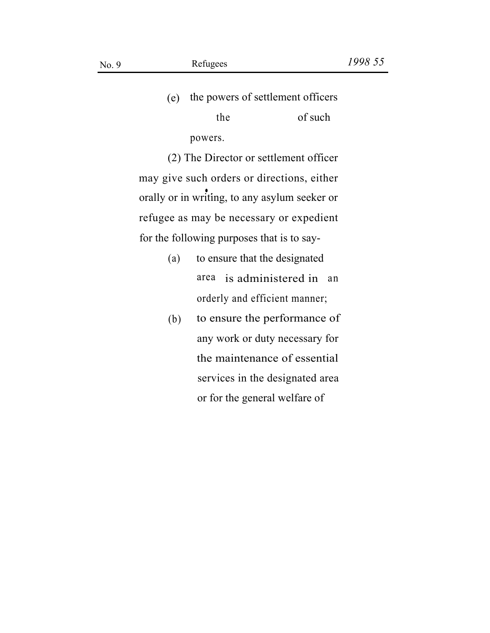(e) the powers of settlement officers

the of such powers.

(2) The Director or settlement officer may give such orders or directions, either orally or in writing, to any asylum seeker or refugee as may be necessary or expedient for the following purposes that is to say-

- (a) to ensure that the designated area is administered in an orderly and efficient manner;
- to ensure the performance of any work or duty necessary for the maintenance of essential services in the designated area or for the general welfare of (b)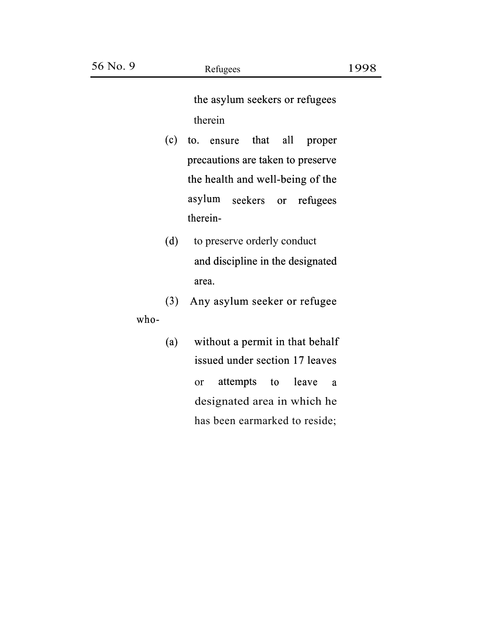the asylum seekers or refugees therein

- $(c)$  to. ensure that all precautions are taken to preserve the health and well-being of the asylum therein-therein seekers or refugees s are taken<br>and well-b<br>seekers or proper
- to preserve orderly conduct and discipline in the designated area.  $(d)$
- (3) Any asylum seeker or refugee who-
	- (a) without a permit in that behalf issued under section 17 leaves or attempts to designated area in which he has been earmarked to reside; leave a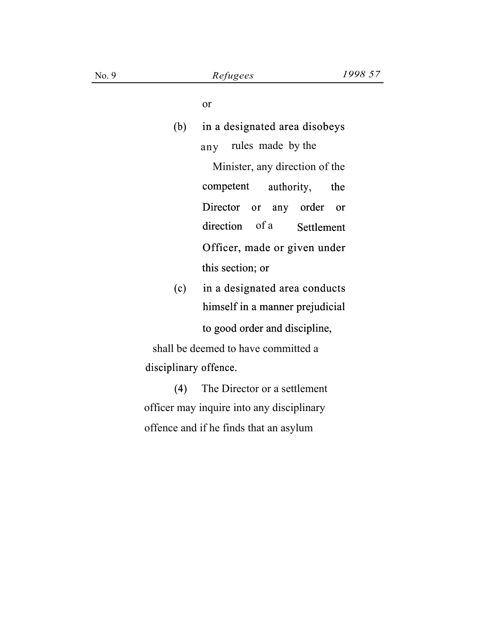or

# (b) in a designated area disobeys any rules made by the Minister, any direction of the competent authority, the Director or any order or direction of a Settlement Officer, made or given under this section; or (c) in a designated area conducts himself in a manner prejudicial No. 9<br>
Refugees<br>
or<br>
(b) in a designated area disol<br>
any rules made by the<br>
Minister, any direction o<br>
competent authority,<br>
Director or any order<br>
direction of a Settle!<br>
Officer, made or given u<br>
this section; or<br>
(c) in

to good order and discipline,

shall be deemed to have committed a disciplinary offence.

(4) The Director or a settlement officer may inquire into any disciplinary offence and if he finds that an asylum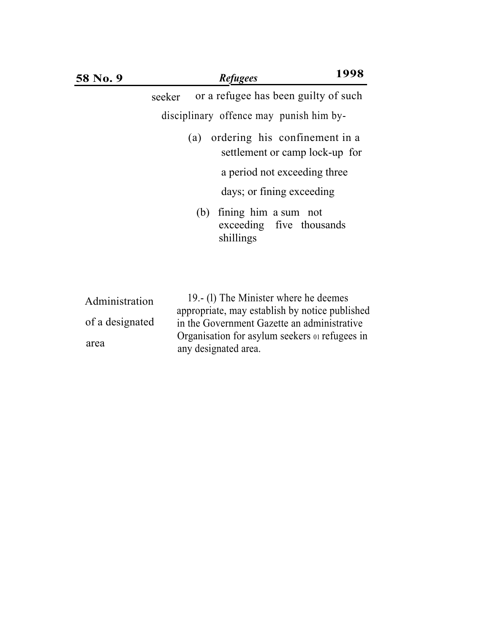| 58 No. 9                          | <b>Refugees</b>                                                                                                                       | 1998                                                            |
|-----------------------------------|---------------------------------------------------------------------------------------------------------------------------------------|-----------------------------------------------------------------|
|                                   | seeker                                                                                                                                | or a refugee has been guilty of such                            |
|                                   | disciplinary offence may punish him by-                                                                                               |                                                                 |
|                                   | (a)                                                                                                                                   | ordering his confinement in a<br>settlement or camp lock-up for |
|                                   |                                                                                                                                       | a period not exceeding three                                    |
|                                   |                                                                                                                                       | days; or fining exceeding                                       |
|                                   | fining him a sum not<br>(b)<br>shillings                                                                                              | exceeding five thousands                                        |
| Administration<br>of a designated | 19. (1) The Minister where he deemes<br>appropriate, may establish by notice published<br>in the Government Gazette an administrative |                                                                 |

any designated area.

area

Organisation for asylum seekers 01 refugees in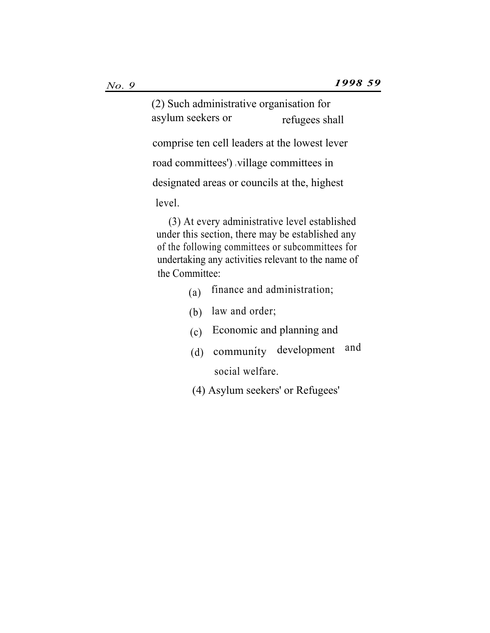(2) Such administrative organisation for asylum seekers or refugees shall

comprise ten cell leaders at the lowest lever

road committees') village committees in

designated areas or councils at the, highest

level.

(3) At every administrative level established under this section, there may be established any of the following committees or subcommittees for undertaking any activities relevant to the name of the Committee:

- $(a)$  finance and administration;
- (b) law and order;
- (c) Economic and planning and
- (d) community development and social welfare.
- (4) Asylum seekers' or Refugees'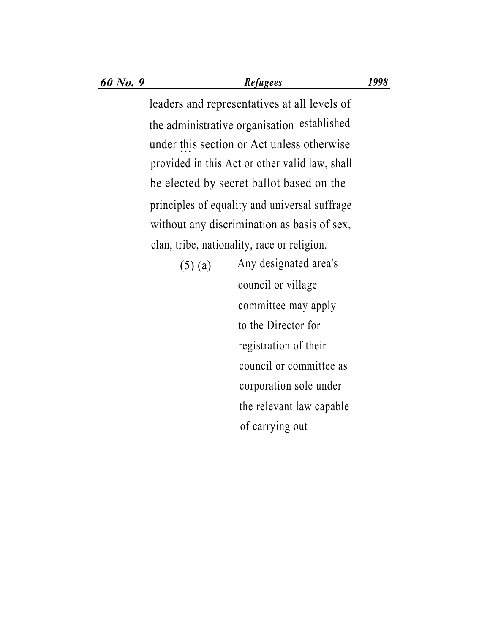*60 No. 9 Refugees 1998*

leaders and representatives at all levels of the administrative organisation established under this section or Act unless otherwise ... provided in this Act or other valid law, shall be elected by secret ballot based on the principles of equality and universal suffrage without any discrimination as basis of sex, . clan, tribe, nationality, race or religion.

> Any designated area's (5) (a) council or village committee may apply to the Director for registration of their council or committee as corporation sole under the relevant law capable of carrying out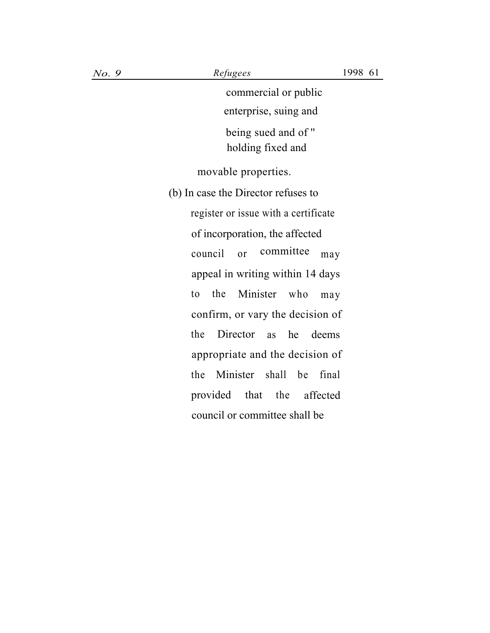commercial or public enterprise, suing and

being sued and of '' holding fixed and

movable properties.

(b) In case the Director refuses to register or issue with a certificate of incorporation, the affected council or committee may appeal in writing within 14 days to the Minister who may confirm, or vary the decision of the Director as he deems appropriate and the decision of the Minister shall be final provided that the affected council or committee shall be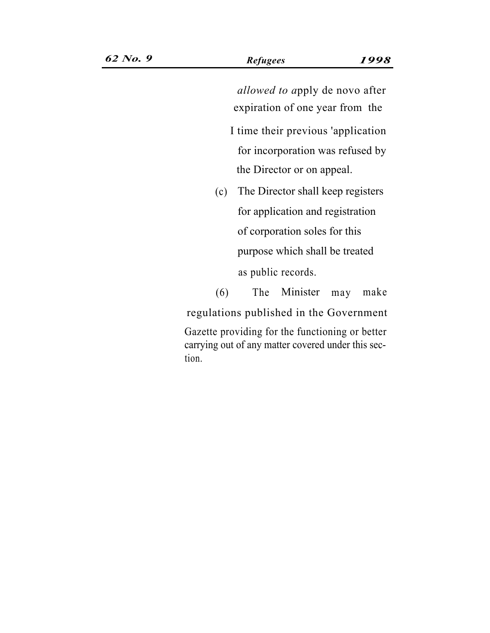*allowed to a*pply de novo after expiration of one year from the

- I time their previous 'application for incorporation was refused by the Director or on appeal.
- The Director shall keep registers (c) for application and registration of corporation soles for this purpose which shall be treated as public records.

(6) The Minister may make regulations published in the Government Gazette providing for the functioning or better carrying out of any matter covered under this sec-

tion.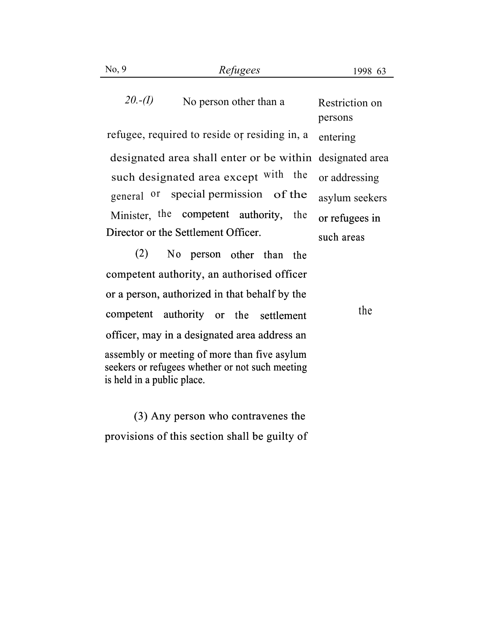20.-(I) No person other than a Restriction on

refugee, required to reside or residing in, a  $entering$ designated area shall enter or be within designated area such designated area except with the general <sup>or</sup> special permission of the asylum seekers Minister, the competent authority, the or refugees in Director or the Settlement Officer.

persons or addressing such areas the or refugees in

(2) No person other than the competent authority, an authorised officer or a person, authorized in that behalf by the competent authority or the settlement officer, may in a designated area address an assembly or meeting of more than five asylum seekers or refugees whether or not such meeting is held in a public place.

the

(3) Any person who contravenes the provisions of this section shall be guilty of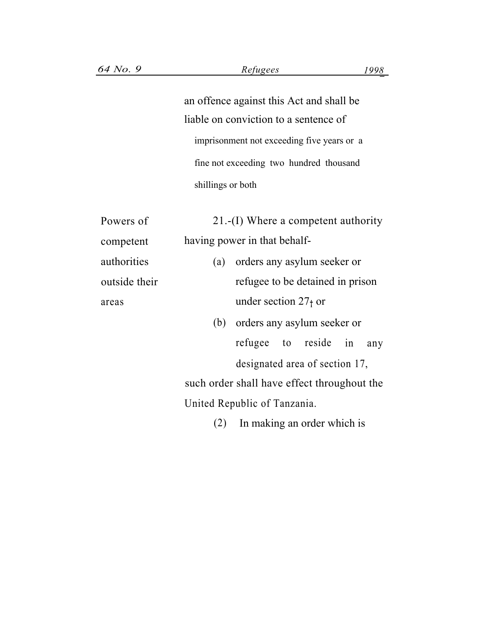an offence against this Act and shall be liable on conviction to a sentence of fine not exceeding two hundred thousand shillings or both

|               |                   | imprisonment not exceeding five years or a  |
|---------------|-------------------|---------------------------------------------|
|               |                   | fine not exceeding two hundred thousand     |
|               | shillings or both |                                             |
|               |                   |                                             |
| Powers of     |                   | $21.-(I)$ Where a competent authority       |
| competent     |                   | having power in that behalf-                |
| authorities   |                   | (a) orders any asylum seeker or             |
| outside their |                   | refugee to be detained in prison            |
| areas         |                   | under section $271$ or                      |
|               |                   | (b) orders any asylum seeker or             |
|               |                   | refugee to reside in<br>any                 |
|               |                   | designated area of section 17,              |
|               |                   | such order shall have effect throughout the |
|               |                   | United Republic of Tanzania.                |
|               | (2)               | In making an order which is                 |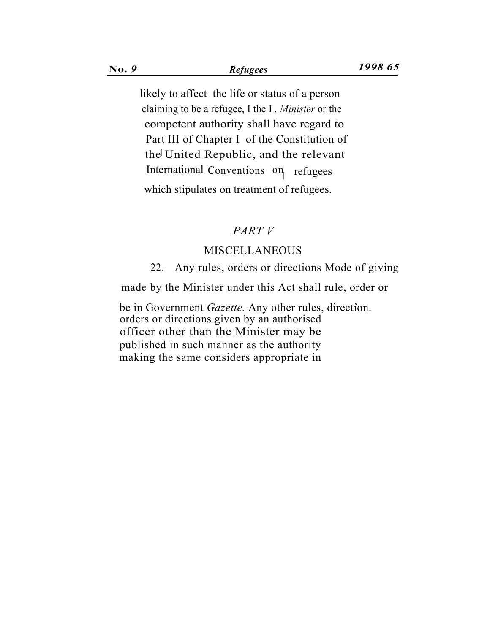likely to affect the life or status of a person claiming to be a refugee, I the I *. Minister* or the competent authority shall have regard to the United Republic, and the relevant Part III of Chapter I of the Constitution of International Conventions  $\mathfrak{on}_{r}$  refugees which stipulates on treatment of refugees.

#### *PART V*

#### MISCELLANEOUS

22. Any rules, orders or directions Mode of giving

made by the Minister under this Act shall rule, order or

. be in Government *Gazette.* Any other rules, direction. orders or directions given by an authorised officer other than the Minister may be published in such manner as the authority making the same considers appropriate in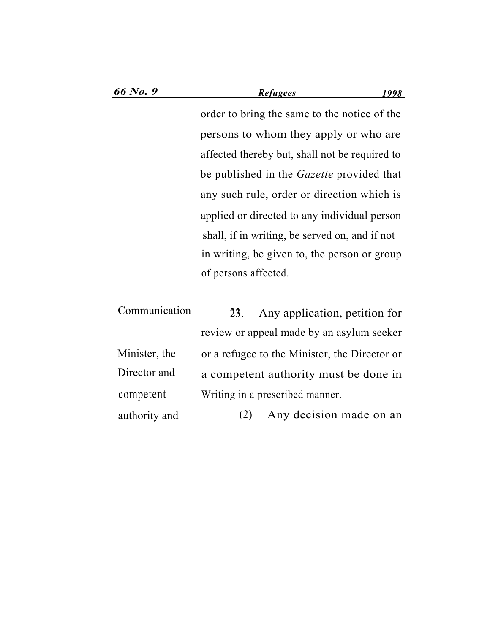order to bring the same to the notice of the persons to whom they apply or who are affected thereby but, shall not be required to be published in the *Gazette* provided that any such rule, order or direction which is applied or directed to any individual person shall, if in writing, be served on, and if not in writing, be given to, the person or group of persons affected.

| Communication | Any application, petition for<br>23.          |
|---------------|-----------------------------------------------|
|               | review or appeal made by an asylum seeker     |
| Minister, the | or a refugee to the Minister, the Director or |
| Director and  | a competent authority must be done in         |
| competent     | Writing in a prescribed manner.               |
| authority and | Any decision made on an<br>(2)                |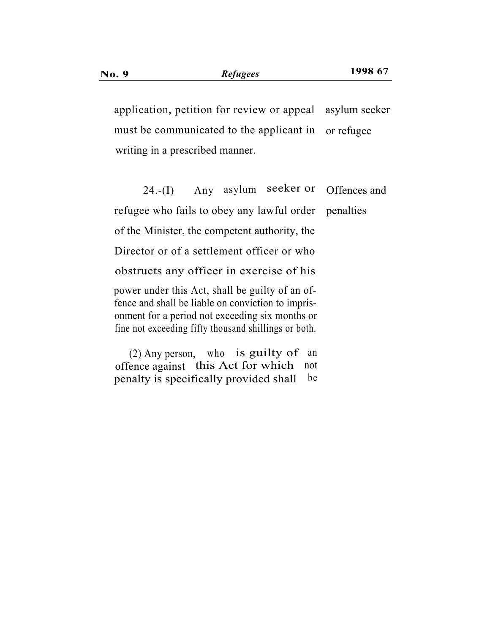application, petition for review or appeal asylum seeker must be communicated to the applicant in writing in a prescribed manner. or refugee

 $24.-(I)$  Any asylum seeker or Offences and refugee who fails to obey any lawful order penalties of the Minister, the competent authority, the Director or of a settlement officer or who obstructs any officer in exercise of his power under this Act, shall be guilty of an offence and shall be liable on conviction to imprisonment for a period not exceeding six months or fine not exceeding fifty thousand shillings or both.

(2) Any person, who is guilty of an offence against this Act for which not penalty is specifically provided shall be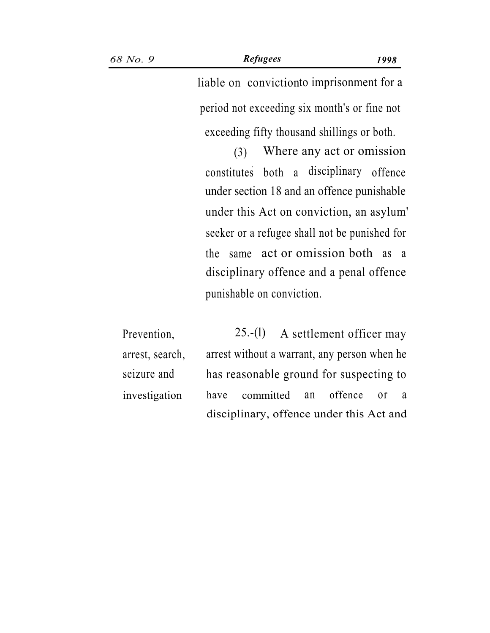exceeding fifty thousand shillings or both.

(3) Where any act or omission constitutes both a disciplinary offence under section 18 and an offence punishable under this Act on conviction, an asylum' seeker or a refugee shall not be punished for the same act or omission both as a disciplinary offence and a penal offence punishable on conviction.

Prevention, 25.-(l) A settlement officer may arrest, search, arrest without a warrant, any person when he seizure and has reasonable ground for suspecting to investigation have committed an offence or a disciplinary, offence under this Act and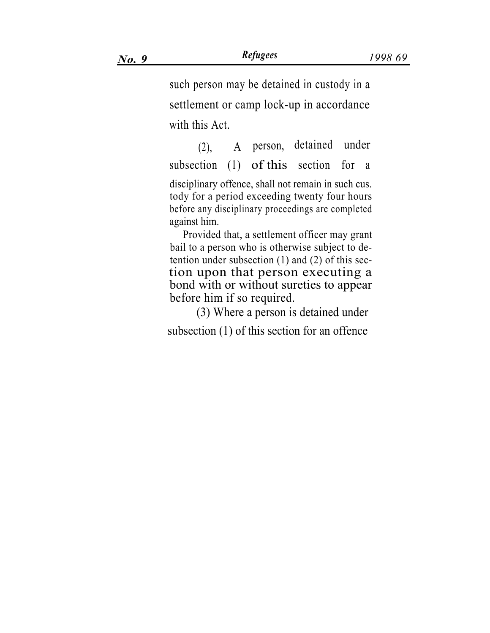such person may be detained in custody in a settlement or camp lock-up in accordance with this Act.

(2), A person, detained under subsection (1) of this section for a disciplinary offence, shall not remain in such cus. tody for a period exceeding twenty four hours before any disciplinary proceedings are completed against him.

Provided that, a settlement officer may grant bail to a person who is otherwise subject to detention under subsection (1) and (2) of this section upon that person executing a bond with or without sureties to appear before him if so required.

(3) Where a person is detained under subsection (1) of this section for an offence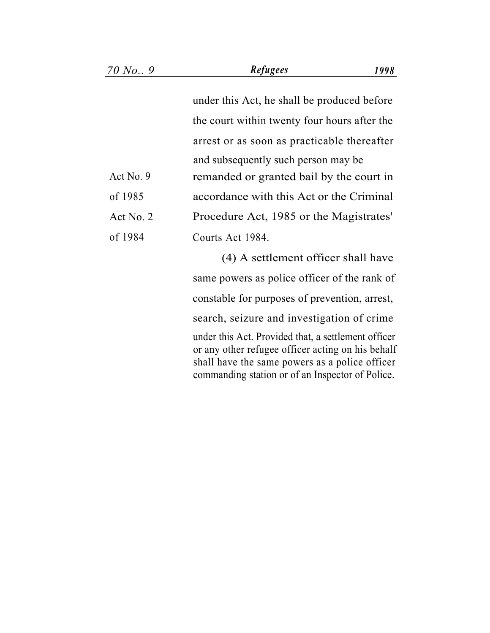under this Act, he shall be produced before the court within twenty four hours after the arrest or as soon as practicable thereafter and subsequently such person may be Act No. 9 remanded or granted bail by the court in accordance with this Act or the Criminal Procedure Act, 1985 or the Magistrates' of 1985 Act No. 2 of 1984 Courts Act 1984. (4) A settlement officer shall have same powers as police officer of the rank of constable for purposes of prevention, arrest, search, seizure and investigation of crime under this Act. Provided that, a settlement officer or any other refugee officer acting on his behalf shall have the same powers as a police officer commanding station or of an Inspector of Police.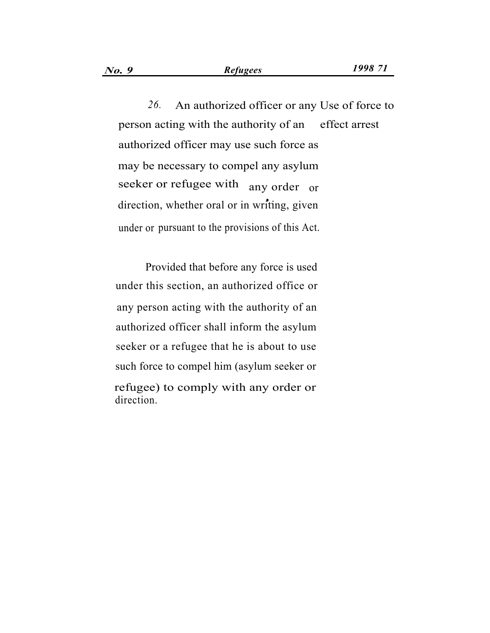*26.* An authorized officer or any Use of force to person acting with the authority of an effect arrest authorized officer may use such force as may be necessary to compel any asylum seeker or refugee with any order or direction, whether oral or in writing, given under or pursuant to the provisions of this Act.

Provided that before any force is used under this section, an authorized office or any person acting with the authority of an authorized officer shall inform the asylum seeker or a refugee that he is about to use such force to compel him (asylum seeker or refugee) to comply with any order or direction.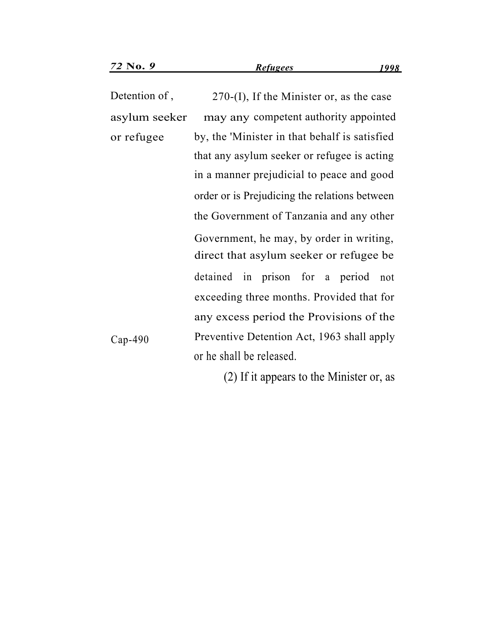Detention of , 270-(I), If the Minister or, as the case asylum seeker may any competent authority appointed or refugee by, the 'Minister in that behalf is satisfied that any asylum seeker or refugee is acting in a manner prejudicial to peace and good order or is Prejudicing the relations between the Government of Tanzania and any other Government, he may, by order in writing, direct that asylum seeker or refugee be detained in prison for a period not exceeding three months. Provided that for any excess period the Provisions of the Cap-490 Preventive Detention Act, 1963 shall apply or he shall be released.

(2) If it appears to the Minister or, as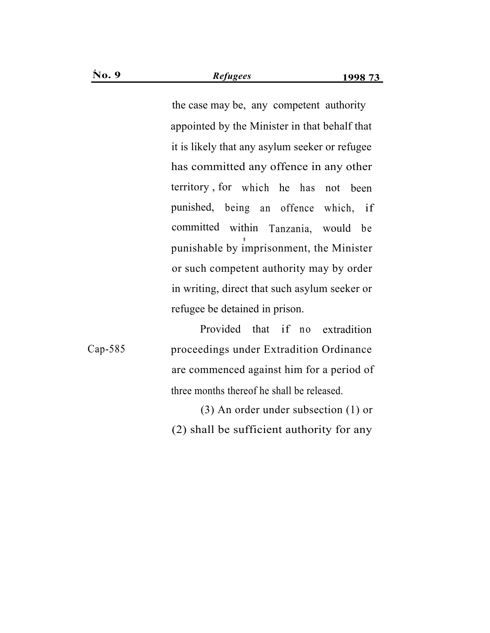appointed by the Minister in that behalf that it is likely that any asylum seeker or refugee has committed any offence in any other territory , for which he has not been punished, being an offence which, if committed within Tanzania, would be punishable by imprisonment, the Minister or such competent authority may by order in writing, direct that such asylum seeker or refugee be detained in prison. the case may be, any competent authority

Provided that if no extradition Cap-585 proceedings under Extradition Ordinance are commenced against him for a period of three months thereof he shall be released.

> (3) An order under subsection (1) or (2) shall be sufficient authority for any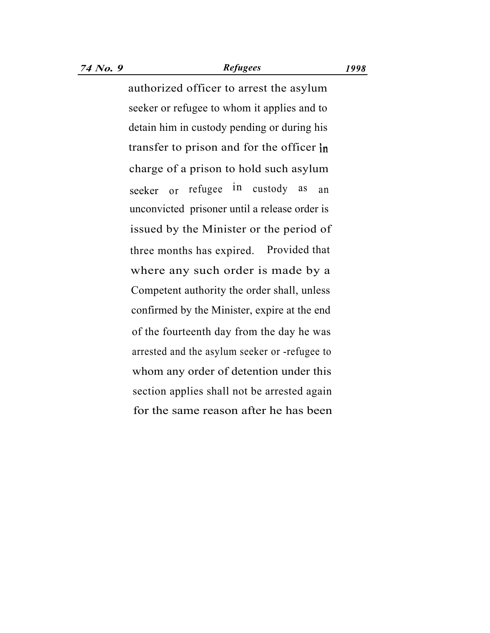## *74 No. 9 Refugees 1998*

authorized officer to arrest the asylum seeker or refugee to whom it applies and to detain him in custody pending or during his transfer to prison and for the officer in charge of a prison to hold such asylum seeker or refugee in custody as an unconvicted prisoner until a release order is issued by the Minister or the period of three months has expired. Provided that where any such order is made by a Competent authority the order shall, unless confirmed by the Minister, expire at the end of the fourteenth day from the day he was arrested and the asylum seeker or -refugee to whom any order of detention under this section applies shall not be arrested again for the same reason after he has been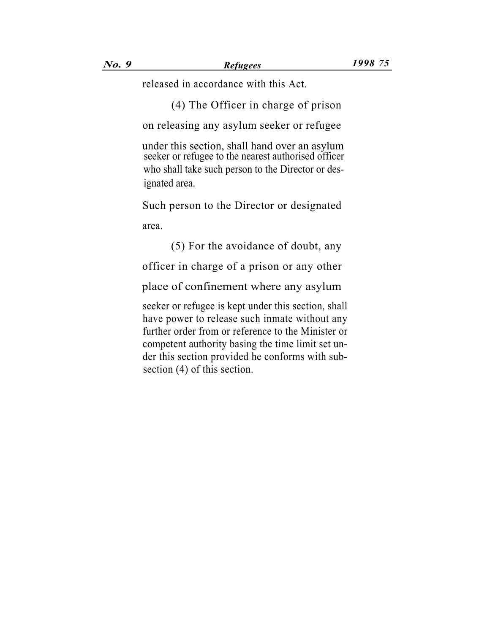released in accordance with this Act.

(4) The Officer in charge of prison

on releasing any asylum seeker or refugee

under this section, shall hand over an asylum seeker or refugee to the nearest authorised officer who shall take such person to the Director or designated area.

Such person to the Director or designated

area.

(5) For the avoidance of doubt, any

officer in charge of a prison or any other

place of confinement where any asylum

seeker or refugee is kept under this section, shall have power to release such inmate without any further order from or reference to the Minister or competent authority basing the time limit set under this section provided he conforms with subsection (4) of this section.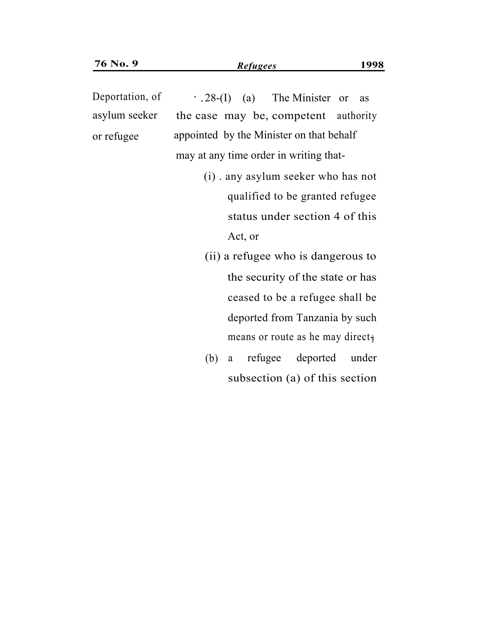Deportation, of  $.28-(I)$  (a) The Minister or as asylum seeker the case may be, competent authority or refugee may at any time order in writing that appointed by the Minister on that behalf

- (i) . any asylum seeker who has not qualified to be granted refugee status under section 4 of this Act, or
- (ii) a refugee who is dangerous to the security of the state or has ceased to be a refugee shall be deported from Tanzania by such means or route as he may direct, 28-(I) (a) The Minister or as<br>case may be, competent authority<br>inted by the Minister on that behalf<br>at any time order in writing that-<br>(i) any asylum seeker who has no<br>qualified to be granted refugee<br>status under section
	- (b) a refugee deported under subsection (a) of this section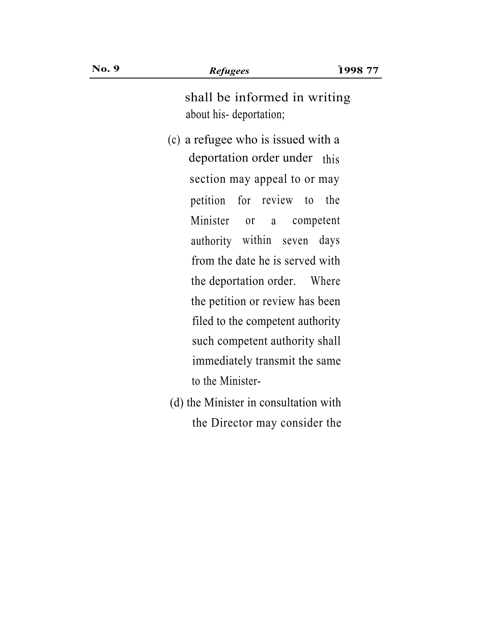shall be informed in writing' about his- deportation;

- (c) a refugee who is issued with a deportation order under this section may appeal to or may petition for review to the Minister or a competent authority within seven days from the date he is served with the deportation order. Where the petition or review has been filed to the competent authority such competent authority shall immediately transmit the same to the Minister-
- (d) the Minister in consultation with the Director may consider the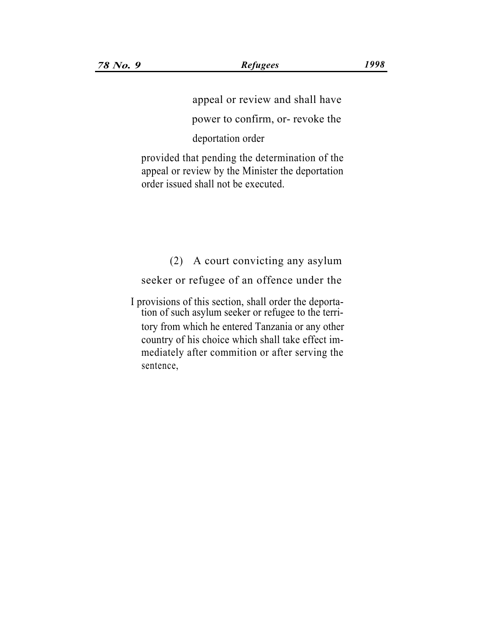appeal or review and shall have

power to confirm, or- revoke the

deportation order

provided that pending the determination of the appeal or review by the Minister the deportation order issued shall not be executed.

(2) A court convicting any asylum

seeker or refugee of an offence under the

I provisions of this section, shall order the deportation of such asylum seeker or refugee to the territory from which he entered Tanzania or any other country of his choice which shall take effect immediately after commition or after serving the sentence,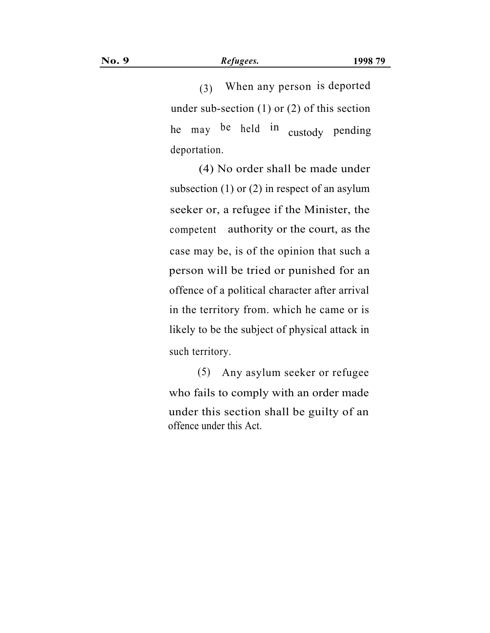(3) When any person is deported under sub-section (1) or (2) of this section he may be held in custody pending deportation.

(4) No order shall be made under subsection (1) or (2) in respect of an asylum seeker or, a refugee if the Minister, the competent authority or the court, as the case may be, is of the opinion that such a person will be tried or punished for an offence of a political character after arrival in the territory from. which he came or is likely to be the subject of physical attack in such territory.

(5) Any asylum seeker or refugee who fails to comply with an order made under this section shall be guilty of an offence under this Act.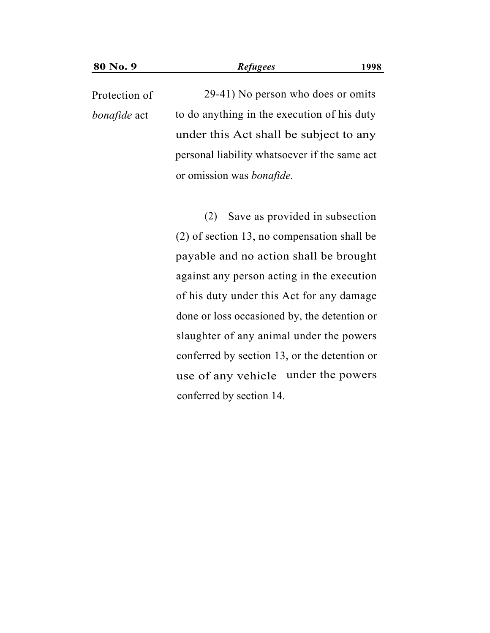29-41) No person who does or omits to do anything in the execution of his duty under this Act shall be subject to any personal liability whatsoever if the same act or omission was *bonafide.* Protection of *bonafide* act

> (2) Save as provided in subsection (2) of section 13, no compensation shall be payable and no action shall be brought against any person acting in the execution of his duty under this Act for any damage done or loss occasioned by, the detention or slaughter of any animal under the powers conferred by section 13, or the detention or use of any vehicle under the powersconferred by section 14.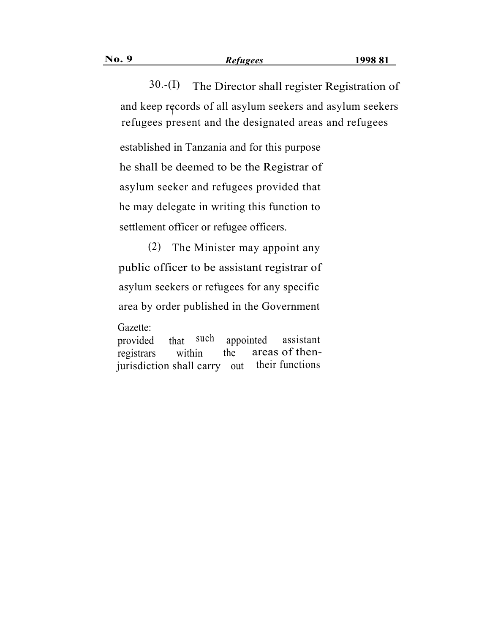30.-(I) The Director shall register Registration of and keep records of all asylum seekers and asylum seekers refugees present and the designated areas and refugees

established in Tanzania and for this purpose he shall be deemed to be the Registrar of asylum seeker and refugees provided that he may delegate in writing this function to settlement officer or refugee officers.

(2) The Minister may appoint any public officer to be assistant registrar of asylum seekers or refugees for any specific area by order published in the Government Gazette:

provided that such appointed assistant areas of thentheir functions registrars within the jurisdiction shall carry out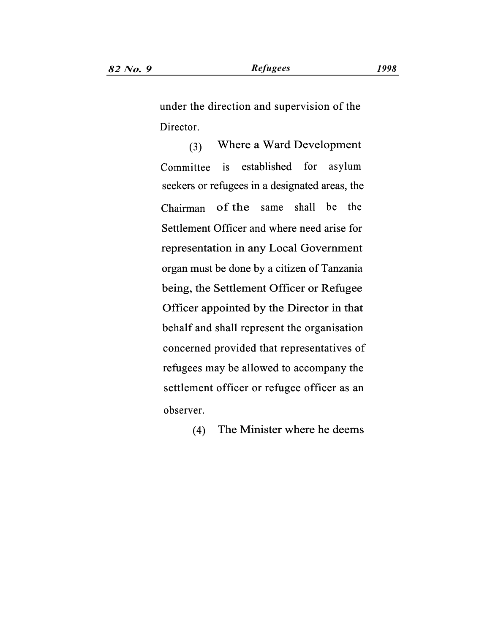under the direction and supervision of the Director.

Where a Ward Development (3) Committee is established for asylum seekers or refugees in a designated areas, the of the same shall be the Settlement Officer and where need arise for representation in any Local Government organ must be done by a citizen of Tanzania being, the Settlement Officer or Refugee Officer appointed by the Director in that behalf and shall represent the organisation concerned provided that representatives of refugees may be allowed to accompany the settlement officer or refugee officer as an observer. Chairman the is established for asylung<br>or refugees in a designated areas, the same shall be the

(4) The Minister where he deems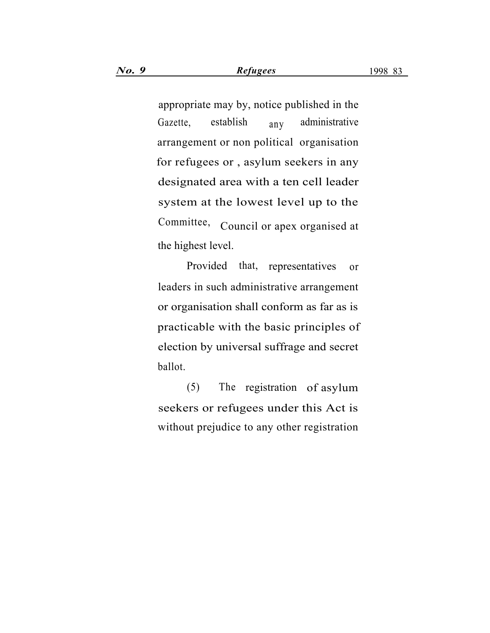appropriate may by, notice published in the Gazette, establish  $a_{\text{nv}}$  administrative arrangement or non political organisation for refugees or , asylum seekers in any designated area with a ten cell leader system at the lowest level up to the Committee, Council or apex organised at the highest level.

Provided that, representatives or leaders in such administrative arrangement or organisation shall conform as far as is practicable with the basic principles of election by universal suffrage and secret ballot.

(5) The registration of asylum seekers or refugees under this Act is without prejudice to any other registration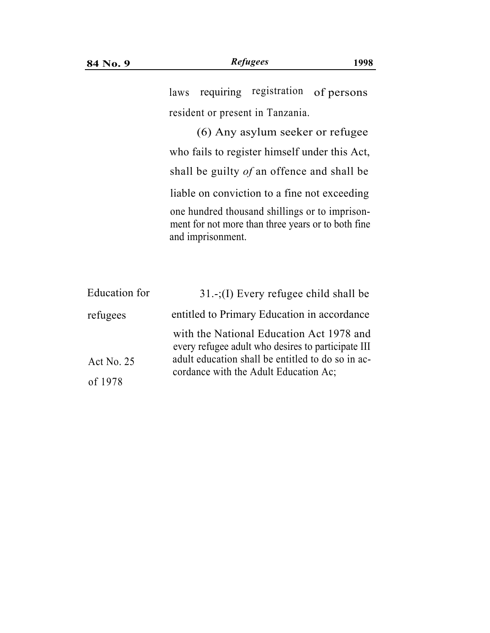(6) Any asylum seeker or refugee who fails to register himself under this Act, shall be guilty *of* an offence and shall be liable on conviction to a fine not exceeding one hundred thousand shillings or to imprisonment for not more than three years or to both fine and imprisonment.

| Education for | $31-(1)$ Every refugee child shall be                                                          |  |
|---------------|------------------------------------------------------------------------------------------------|--|
| refugees      | entitled to Primary Education in accordance                                                    |  |
|               | with the National Education Act 1978 and<br>every refugee adult who desires to participate III |  |
| Act No. $25$  | adult education shall be entitled to do so in ac-<br>cordance with the Adult Education Ac;     |  |
| of 1978       |                                                                                                |  |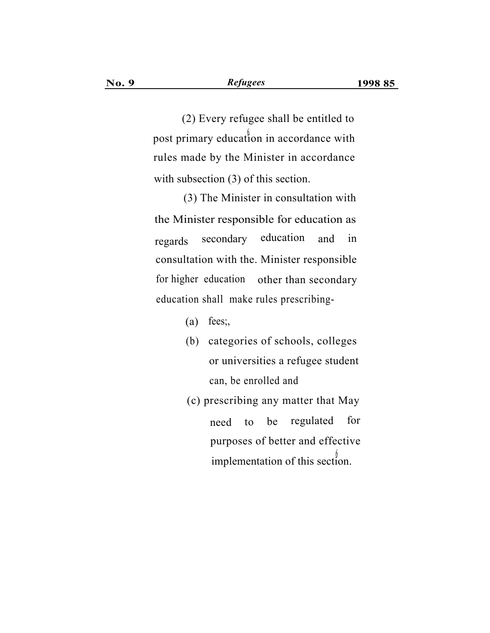(2) Every refugee shall be entitled to post primary education in accordance with rules made by the Minister in accordance with subsection (3) of this section.

(3) The Minister in consultation with the Minister responsible for education as regards secondary education and in consultation with the. Minister responsible for higher education other than secondary education shall make rules prescribing-

- $(a)$  fees;
- (b) categories of schools, colleges or universities a refugee student can, be enrolled and
- (c) prescribing any matter that May need to be regulated for purposes of better and effective implementation of this section.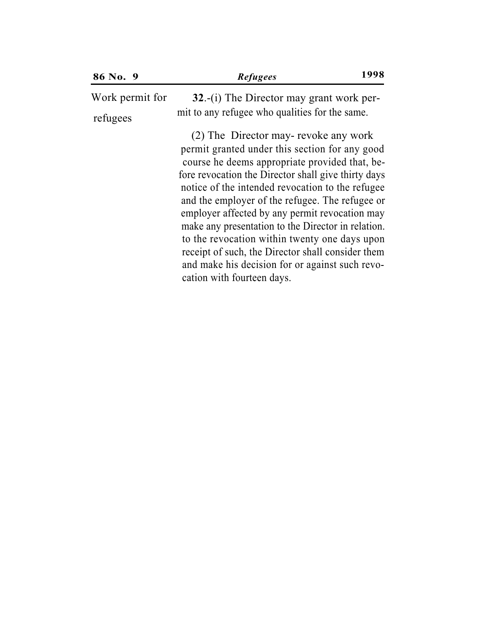| 86 No. 9        | <b>Refugees</b>                                                                                                                                                                                                                                                                                                                                                                                                                                                                                                                                                                                       | 1998 |
|-----------------|-------------------------------------------------------------------------------------------------------------------------------------------------------------------------------------------------------------------------------------------------------------------------------------------------------------------------------------------------------------------------------------------------------------------------------------------------------------------------------------------------------------------------------------------------------------------------------------------------------|------|
| Work permit for | $32.-(i)$ The Director may grant work per-                                                                                                                                                                                                                                                                                                                                                                                                                                                                                                                                                            |      |
| refugees        | mit to any refugee who qualities for the same.                                                                                                                                                                                                                                                                                                                                                                                                                                                                                                                                                        |      |
|                 | (2) The Director may-revoke any work<br>permit granted under this section for any good<br>course he deems appropriate provided that, be-<br>fore revocation the Director shall give thirty days<br>notice of the intended revocation to the refugee<br>and the employer of the refugee. The refugee or<br>employer affected by any permit revocation may<br>make any presentation to the Director in relation.<br>to the revocation within twenty one days upon<br>receipt of such, the Director shall consider them<br>and make his decision for or against such revo-<br>cation with fourteen days. |      |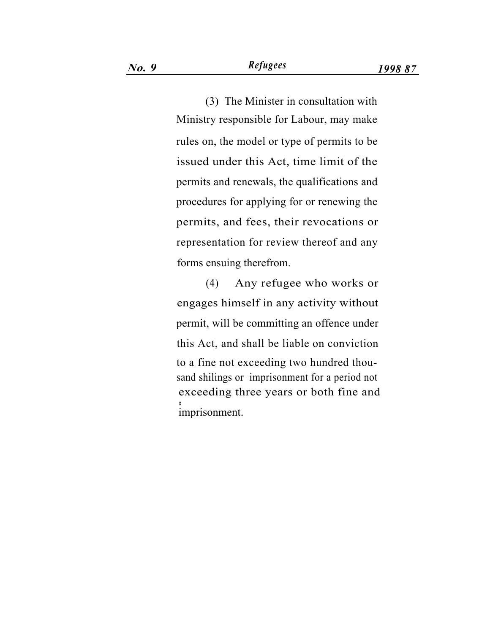(3) The Minister in consultation with Ministry responsible for Labour, may make rules on, the model or type of permits to be issued under this Act, time limit of the permits and renewals, the qualifications and procedures for applying for or renewing the permits, and fees, their revocations or representation for review thereof and any forms ensuing therefrom.

(4) Any refugee who works or engages himself in any activity without permit, will be committing an offence under this Act, and shall be liable on conviction to a fine not exceeding two hundred thousand shilings or imprisonment for a period not exceeding three years or both fine and imprisonment.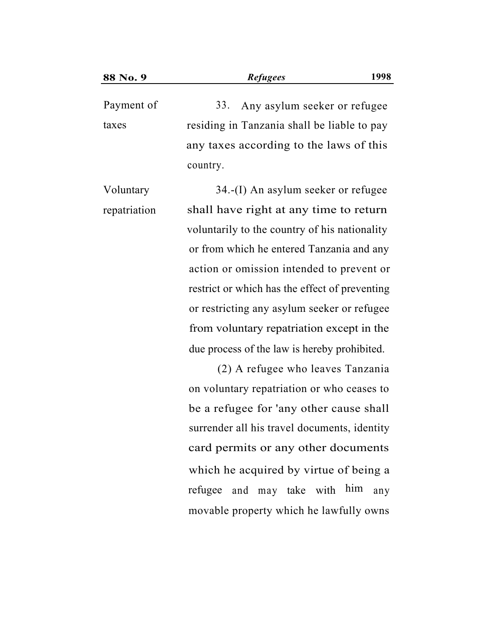Payment of 33. Any asylum seeker or refugee taxes residing in Tanzania shall be liable to pay any taxes according to the laws of this country.

34.-(I) An asylum seeker or refugee shall have right at any time to return voluntarily to the country of his nationality or from which he entered Tanzania and any action or omission intended to prevent or restrict or which has the effect of preventing or restricting any asylum seeker or refugee from voluntary repatriation except in the Voluntary repatriation due process of the law is hereby prohibited.

> (2) A refugee who leaves Tanzania on voluntary repatriation or who ceases to be a refugee for 'any other cause shall surrender all his travel documents, identity card permits or any other documents which he acquired by virtue of being a refugee and may take with him any movable property which he lawfully owns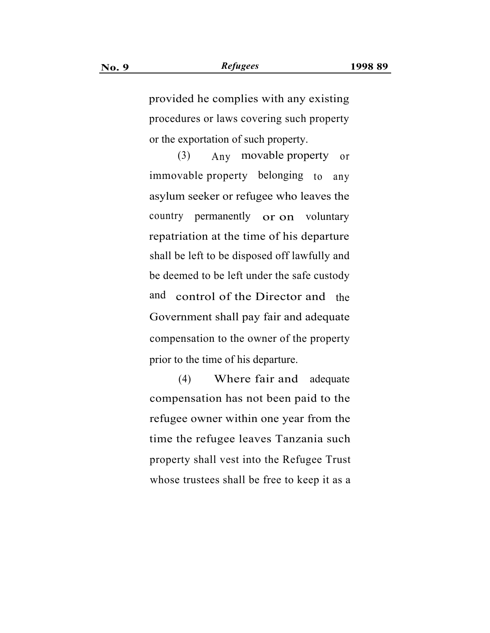provided he complies with any existing procedures or laws covering such property or the exportation of such property.

(3) Any movable property or immovable property belonging to any asylum seeker or refugee who leaves the country permanently or on voluntary repatriation at the time of his departure shall be left to be disposed off lawfully and be deemed to be left under the safe custody and control of the Director and the Government shall pay fair and adequate compensation to the owner of the property prior to the time of his departure.

(4) Where fair and adequate compensation has not been paid to the refugee owner within one year from the time the refugee leaves Tanzania such property shall vest into the Refugee Trust whose trustees shall be free to keep it as a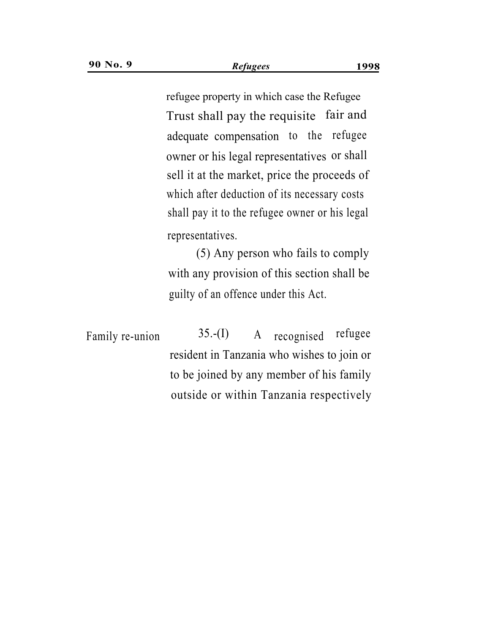Trust shall pay the requisite fair and . adequate compensation to the refugee owner or his legal representatives or shall sell it at the market, price the proceeds of which after deduction of its necessary costs shall pay it to the refugee owner or his legal representatives. refugee property in which case the Refugee

(5) Any person who fails to comply with any provision of this section shall be guilty of an offence under this Act.

Family re-union  $35-(I)$  A recognised refugee resident in Tanzania who wishes to join or to be joined by any member of his family outside or within Tanzania respectively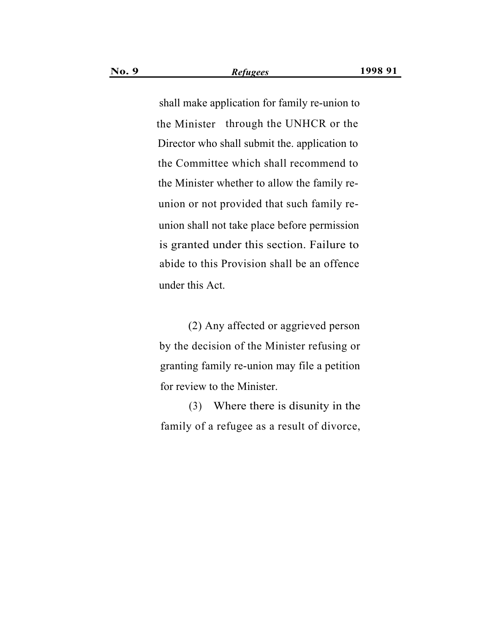shall make application for family re-union to the Minister through the UNHCR or the Director who shall submit the. application to the Committee which shall recommend to the Minister whether to allow the family reunion or not provided that such family reunion shall not take place before permission is granted under this section. Failure to abide to this Provision shall be an offence under this Act.

(2) Any affected or aggrieved person by the decision of the Minister refusing or granting family re-union may file a petition for review to the Minister.

(3) Where there is disunity in the family of a refugee as a result of divorce,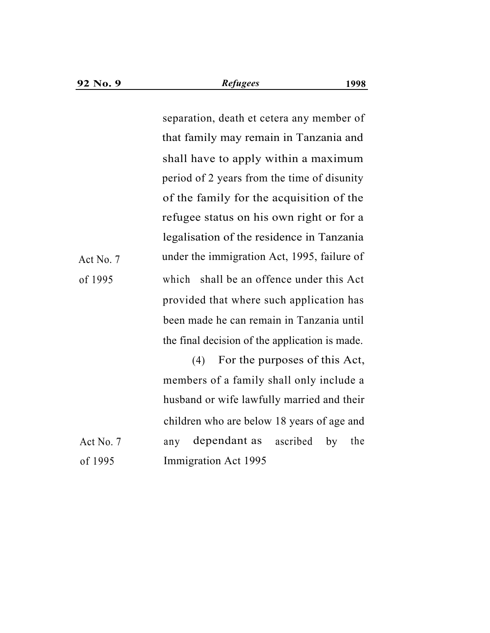separation, death et cetera any member of that family may remain in Tanzania and shall have to apply within a maximum period of 2 years from the time of disunity of the family for the acquisition of the refugee status on his own right or for a legalisation of the residence in Tanzania Act No. 7 under the immigration Act, 1995, failure of which shall be an offence under this Act provided that where such application has been made he can remain in Tanzania until the final decision of the application is made.

(4) For the purposes of this Act, members of a family shall only include a husband or wife lawfully married and their children who are below 18 years of age and Act No. 7 any dependant as ascribed by the of 1995 Immigration Act 1995

of 1995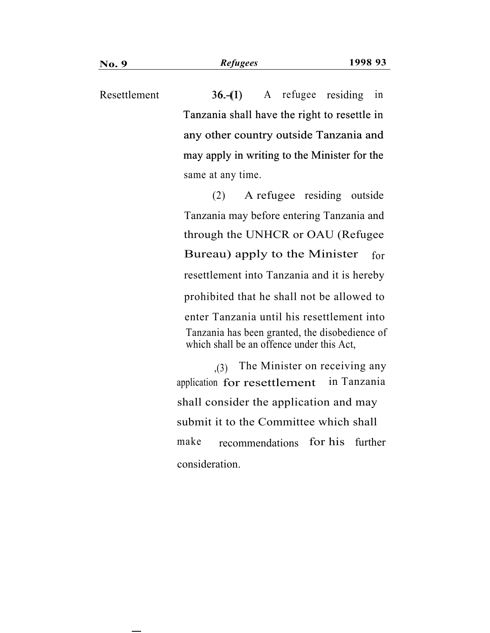A refugee residing in Tanzania shall have the right to resettle in any other country outside Tanzania and may apply in writing to the Minister for the Resettlement same at any time.  $36-(1)$ 

> (2) A refugee residing outside Tanzania may before entering Tanzania and through the UNHCR or OAU (Refugee Bureau) apply to the Minister for resettlement into Tanzania and it is hereby prohibited that he shall not be allowed to enter Tanzania until his resettlement into Tanzania has been granted, the disobedience of which shall be an offence under this Act,

,(3) The Minister on receiving any application for resettlement in Tanzania shall consider the application and may submit it to the Committee which shall make recommendations for his further consideration.